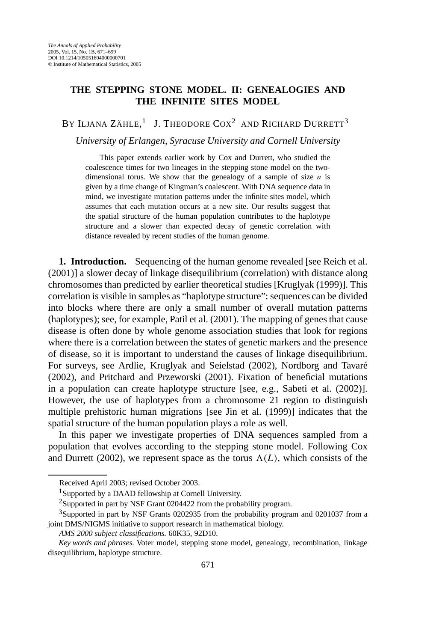## **THE STEPPING STONE MODEL. II: GENEALOGIES AND THE INFINITE SITES MODEL**

BY ILJANA ZÄHLE, $^1$  J. Theodore Cox<sup>2</sup> and Richard Durrett<sup>3</sup>

*University of Erlangen, Syracuse University and Cornell University*

This paper extends earlier work by Cox and Durrett, who studied the coalescence times for two lineages in the stepping stone model on the twodimensional torus. We show that the genealogy of a sample of size *n* is given by a time change of Kingman's coalescent. With DNA sequence data in mind, we investigate mutation patterns under the infinite sites model, which assumes that each mutation occurs at a new site. Our results suggest that the spatial structure of the human population contributes to the haplotype structure and a slower than expected decay of genetic correlation with distance revealed by recent studies of the human genome.

**1. Introduction.** Sequencing of the human genome revealed [see Reich et al. (2001)] a slower decay of linkage disequilibrium (correlation) with distance along chromosomes than predicted by earlier theoretical studies [Kruglyak (1999)]. This correlation is visible in samples as "haplotype structure": sequences can be divided into blocks where there are only a small number of overall mutation patterns (haplotypes); see, for example, Patil et al. (2001). The mapping of genes that cause disease is often done by whole genome association studies that look for regions where there is a correlation between the states of genetic markers and the presence of disease, so it is important to understand the causes of linkage disequilibrium. For surveys, see Ardlie, Kruglyak and Seielstad (2002), Nordborg and Tavaré (2002), and Pritchard and Przeworski (2001). Fixation of beneficial mutations in a population can create haplotype structure [see, e.g., Sabeti et al. (2002)]. However, the use of haplotypes from a chromosome 21 region to distinguish multiple prehistoric human migrations [see Jin et al. (1999)] indicates that the spatial structure of the human population plays a role as well.

In this paper we investigate properties of DNA sequences sampled from a population that evolves according to the stepping stone model. Following Cox and Durrett (2002), we represent space as the torus  $\Lambda(L)$ , which consists of the

Received April 2003; revised October 2003.

<sup>&</sup>lt;sup>1</sup>Supported by a DAAD fellowship at Cornell University.

<sup>2</sup>Supported in part by NSF Grant 0204422 from the probability program.

<sup>&</sup>lt;sup>3</sup>Supported in part by NSF Grants 0202935 from the probability program and 0201037 from a joint DMS/NIGMS initiative to support research in mathematical biology.

*AMS 2000 subject classifications.* 60K35, 92D10.

*Key words and phrases.* Voter model, stepping stone model, genealogy, recombination, linkage disequilibrium, haplotype structure.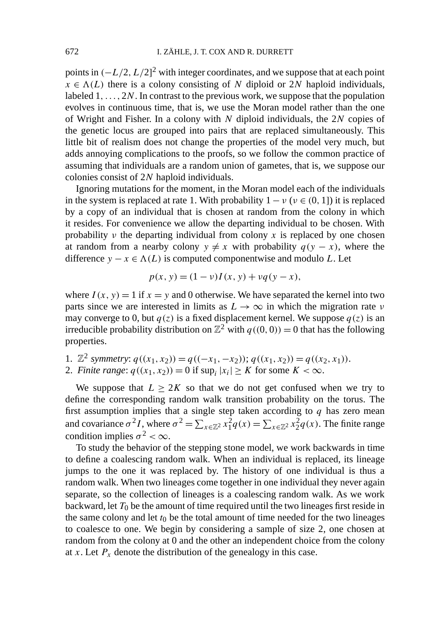points in *(*−*L/*2*, L/*2] <sup>2</sup> with integer coordinates, and we suppose that at each point  $x \in \Lambda(L)$  there is a colony consisting of *N* diploid or 2*N* haploid individuals, labeled  $1, \ldots, 2N$ . In contrast to the previous work, we suppose that the population evolves in continuous time, that is, we use the Moran model rather than the one of Wright and Fisher. In a colony with *N* diploid individuals, the 2*N* copies of the genetic locus are grouped into pairs that are replaced simultaneously. This little bit of realism does not change the properties of the model very much, but adds annoying complications to the proofs, so we follow the common practice of assuming that individuals are a random union of gametes, that is, we suppose our colonies consist of 2*N* haploid individuals.

Ignoring mutations for the moment, in the Moran model each of the individuals in the system is replaced at rate 1. With probability  $1 - v$  ( $v \in (0, 1]$ ) it is replaced by a copy of an individual that is chosen at random from the colony in which it resides. For convenience we allow the departing individual to be chosen. With probability  $\nu$  the departing individual from colony  $\chi$  is replaced by one chosen at random from a nearby colony  $y \neq x$  with probability  $q(y - x)$ , where the difference *y* − *x* ∈  $\Lambda$ (*L*) is computed componentwise and modulo *L*. Let

$$
p(x, y) = (1 - v)I(x, y) + vq(y - x),
$$

where  $I(x, y) = 1$  if  $x = y$  and 0 otherwise. We have separated the kernel into two parts since we are interested in limits as  $L \rightarrow \infty$  in which the migration rate *ν* may converge to 0, but  $q(z)$  is a fixed displacement kernel. We suppose  $q(z)$  is an irreducible probability distribution on  $\mathbb{Z}^2$  with  $q((0, 0)) = 0$  that has the following properties.

1.  $\mathbb{Z}^2$  symmetry:  $q((x_1, x_2)) = q((-x_1, -x_2))$ ;  $q((x_1, x_2)) = q((x_2, x_1))$ .

2. *Finite range*:  $q((x_1, x_2)) = 0$  if sup<sub>i</sub>  $|x_i| \geq K$  for some  $K < \infty$ .

We suppose that  $L \geq 2K$  so that we do not get confused when we try to define the corresponding random walk transition probability on the torus. The first assumption implies that a single step taken according to *q* has zero mean and covariance  $\sigma^2 I$ , where  $\sigma^2 = \sum_{x \in \mathbb{Z}^2} x_1^2 q(x) = \sum_{x \in \mathbb{Z}^2} x_2^2 q(x)$ . The finite range condition implies  $\sigma^2 < \infty$ .

To study the behavior of the stepping stone model, we work backwards in time to define a coalescing random walk. When an individual is replaced, its lineage jumps to the one it was replaced by. The history of one individual is thus a random walk. When two lineages come together in one individual they never again separate, so the collection of lineages is a coalescing random walk. As we work backward, let  $T_0$  be the amount of time required until the two lineages first reside in the same colony and let  $t_0$  be the total amount of time needed for the two lineages to coalesce to one. We begin by considering a sample of size 2, one chosen at random from the colony at 0 and the other an independent choice from the colony at *x*. Let  $P_x$  denote the distribution of the genealogy in this case.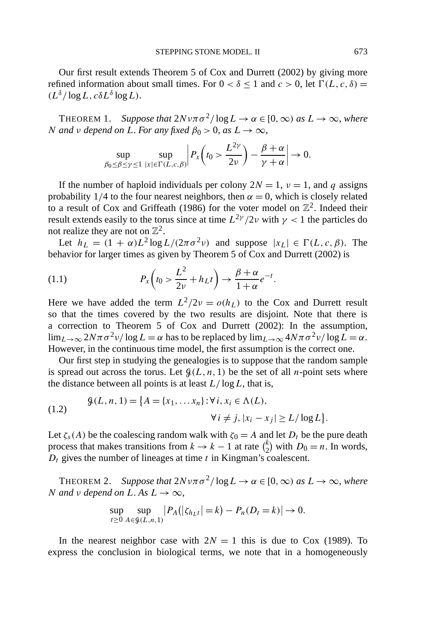Our first result extends Theorem 5 of Cox and Durrett (2002) by giving more refined information about small times. For  $0 < \delta \le 1$  and  $c > 0$ , let  $\Gamma(L, c, \delta) =$ *(Lδ/* log*L, cδL<sup>δ</sup>* log*L)*.

THEOREM 1. *Suppose that*  $2Nv\pi\sigma^2/\log L \to \alpha \in [0,\infty)$  *as*  $L \to \infty$ *, where N and v depend on L*. *For any fixed*  $\beta_0 > 0$ , *as*  $L \rightarrow \infty$ ,

$$
\sup_{\beta_0 \leq \beta \leq \gamma \leq 1} \sup_{|x| \in \Gamma(L,c,\beta)} \left| P_x \left( t_0 > \frac{L^{2\gamma}}{2\nu} \right) - \frac{\beta + \alpha}{\gamma + \alpha} \right| \to 0.
$$

If the number of haploid individuals per colony  $2N = 1$ ,  $\nu = 1$ , and *q* assigns probability 1/4 to the four nearest neighbors, then  $\alpha = 0$ , which is closely related to a result of Cox and Griffeath (1986) for the voter model on  $\mathbb{Z}^2$ . Indeed their result extends easily to the torus since at time  $L^{2\gamma}/2\nu$  with  $\gamma < 1$  the particles do not realize they are not on  $\mathbb{Z}^2$ .

Let  $h_L = (1 + \alpha)L^2 \log L/(2\pi \sigma^2 \nu)$  and suppose  $|x_L| \in \Gamma(L, c, \beta)$ . The behavior for larger times as given by Theorem 5 of Cox and Durrett (2002) is

(1.1) 
$$
P_x\left(t_0 > \frac{L^2}{2\nu} + h_L t\right) \to \frac{\beta + \alpha}{1 + \alpha} e^{-t}.
$$

Here we have added the term  $L^2/2v = o(h_L)$  to the Cox and Durrett result so that the times covered by the two results are disjoint. Note that there is a correction to Theorem 5 of Cox and Durrett (2002): In the assumption,  $\lim_{L\to\infty} 2N\pi\sigma^2 v/\log L = \alpha$  has to be replaced by  $\lim_{L\to\infty} 4N\pi\sigma^2 v/\log L = \alpha$ . However, in the continuous time model, the first assumption is the correct one.

Our first step in studying the genealogies is to suppose that the random sample is spread out across the torus. Let  $\mathcal{G}(L, n, 1)$  be the set of all *n*-point sets where the distance between all points is at least *L/* log*L*, that is,

(1.2) 
$$
\mathcal{G}(L, n, 1) = \{A = \{x_1, \dots x_n\} : \forall i, x_i \in \Lambda(L), \forall i \neq j, |x_i - x_j| \ge L / \log L\}.
$$

Let  $\zeta_s(A)$  be the coalescing random walk with  $\zeta_0 = A$  and let  $D_t$  be the pure death process that makes transitions from  $k \to k - 1$  at rate  $\binom{k}{2}$  with  $D_0 = n$ . In words, *Dt* gives the number of lineages at time *t* in Kingman's coalescent.

THEOREM 2. *Suppose that*  $2Nv\pi\sigma^2/\log L \to \alpha \in [0,\infty)$  *as*  $L \to \infty$ *, where N and v depend on L*. *As*  $L \rightarrow \infty$ ,

$$
\sup_{t \ge 0} \sup_{A \in \mathcal{G}(L, n, 1)} |P_A(|\zeta_{h_L t}| = k) - P_n(D_t = k)| \to 0.
$$

In the nearest neighbor case with  $2N = 1$  this is due to Cox (1989). To express the conclusion in biological terms, we note that in a homogeneously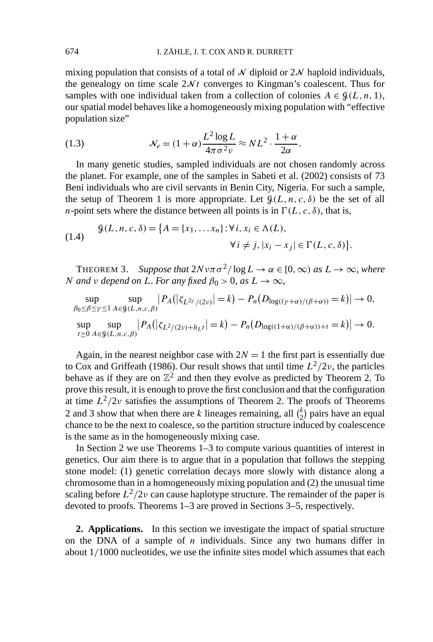mixing population that consists of a total of  $\mathcal N$  diploid or  $2\mathcal N$  haploid individuals, the genealogy on time scale  $2N<sub>t</sub>$  converges to Kingman's coalescent. Thus for samples with one individual taken from a collection of colonies  $A \in \mathcal{G}(L, n, 1)$ , our spatial model behaves like a homogeneously mixing population with "effective population size"

(1.3) 
$$
\mathcal{N}_e = (1+\alpha)\frac{L^2 \log L}{4\pi \sigma^2 \nu} \approx NL^2 \cdot \frac{1+\alpha}{2\alpha}.
$$

In many genetic studies, sampled individuals are not chosen randomly across the planet. For example, one of the samples in Sabeti et al. (2002) consists of 73 Beni individuals who are civil servants in Benin City, Nigeria. For such a sample, the setup of Theorem 1 is more appropriate. Let  $\mathcal{G}(L, n, c, \delta)$  be the set of all *n*-point sets where the distance between all points is in  $\Gamma(L, c, \delta)$ , that is,

(1.4) 
$$
\mathcal{G}(L, n, c, \delta) = \{A = \{x_1, \dots x_n\} : \forall i, x_i \in \Lambda(L),
$$

$$
\forall i \neq j, |x_i - x_j| \in \Gamma(L, c, \delta)\}.
$$

THEOREM 3. *Suppose that*  $2Nv\pi\sigma^2/\log L \to \alpha \in [0,\infty)$  *as*  $L \to \infty$ *, where N and v depend on L*. *For any fixed*  $\beta_0 > 0$ , *as*  $L \rightarrow \infty$ ,

$$
\sup_{\beta_0 \leq \beta \leq \gamma \leq 1} \sup_{A \in \mathcal{G}(L, n, c, \beta)} |P_A(|\zeta_{L^{2\gamma}/(2\nu)}| = k) - P_n(D_{\log((\gamma + \alpha)/(\beta + \alpha))} = k)| \to 0,
$$
  
\n
$$
\sup_{t \geq 0} \sup_{A \in \mathcal{G}(L, n, c, \beta)} |P_A(|\zeta_{L^2/(2\nu)}| + h_L t| = k) - P_n(D_{\log((1 + \alpha)/(\beta + \alpha)) + t} = k)| \to 0.
$$

Again, in the nearest neighbor case with  $2N = 1$  the first part is essentially due to Cox and Griffeath (1986). Our result shows that until time  $L^2/2\nu$ , the particles behave as if they are on  $\mathbb{Z}^2$  and then they evolve as predicted by Theorem 2. To prove this result, it is enough to prove the first conclusion and that the configuration at time  $L^2/2\nu$  satisfies the assumptions of Theorem 2. The proofs of Theorems 2 and 3 show that when there are *k* lineages remaining, all  $\binom{k}{2}$  pairs have an equal chance to be the next to coalesce, so the partition structure induced by coalescence is the same as in the homogeneously mixing case.

In Section 2 we use Theorems 1–3 to compute various quantities of interest in genetics. Our aim there is to argue that in a population that follows the stepping stone model: (1) genetic correlation decays more slowly with distance along a chromosome than in a homogeneously mixing population and (2) the unusual time scaling before  $L^2/2\nu$  can cause haplotype structure. The remainder of the paper is devoted to proofs. Theorems 1–3 are proved in Sections 3–5, respectively.

**2. Applications.** In this section we investigate the impact of spatial structure on the DNA of a sample of *n* individuals. Since any two humans differ in about 1*/*1000 nucleotides, we use the infinite sites model which assumes that each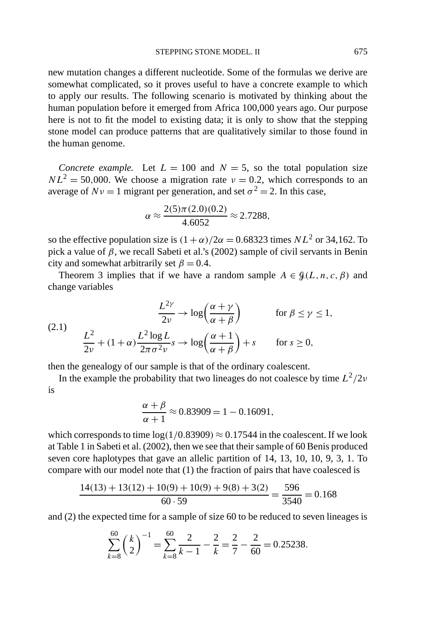new mutation changes a different nucleotide. Some of the formulas we derive are somewhat complicated, so it proves useful to have a concrete example to which to apply our results. The following scenario is motivated by thinking about the human population before it emerged from Africa 100,000 years ago. Our purpose here is not to fit the model to existing data; it is only to show that the stepping stone model can produce patterns that are qualitatively similar to those found in the human genome.

*Concrete example.* Let  $L = 100$  and  $N = 5$ , so the total population size  $NL^2 = 50,000$ . We choose a migration rate  $\nu = 0.2$ , which corresponds to an average of  $Nv = 1$  migrant per generation, and set  $\sigma^2 = 2$ . In this case,

$$
\alpha \approx \frac{2(5)\pi(2.0)(0.2)}{4.6052} \approx 2.7288,
$$

so the effective population size is  $(1 + \alpha)/2\alpha = 0.68323$  times  $NL^2$  or 34,162. To pick a value of *β*, we recall Sabeti et al.'s (2002) sample of civil servants in Benin city and somewhat arbitrarily set  $\beta = 0.4$ .

Theorem 3 implies that if we have a random sample  $A \in \mathcal{G}(L, n, c, \beta)$  and change variables

(2.1) 
$$
\frac{L^{2\gamma}}{2\nu} \to \log\left(\frac{\alpha + \gamma}{\alpha + \beta}\right) \qquad \text{for } \beta \le \gamma \le 1,
$$

$$
\frac{L^2}{2\nu} + (1 + \alpha) \frac{L^2 \log L}{2\pi \sigma^2 \nu} s \to \log\left(\frac{\alpha + 1}{\alpha + \beta}\right) + s \qquad \text{for } s \ge 0,
$$

then the genealogy of our sample is that of the ordinary coalescent.

In the example the probability that two lineages do not coalesce by time  $L^2/2\nu$ is

$$
\frac{\alpha + \beta}{\alpha + 1} \approx 0.83909 = 1 - 0.16091,
$$

which corresponds to time  $log(1/0.83909) \approx 0.17544$  in the coalescent. If we look at Table 1 in Sabeti et al. (2002), then we see that their sample of 60 Benis produced seven core haplotypes that gave an allelic partition of 14, 13, 10, 10, 9, 3, 1. To compare with our model note that (1) the fraction of pairs that have coalesced is

$$
\frac{14(13) + 13(12) + 10(9) + 10(9) + 9(8) + 3(2)}{60 \cdot 59} = \frac{596}{3540} = 0.168
$$

and (2) the expected time for a sample of size 60 to be reduced to seven lineages is

$$
\sum_{k=8}^{60} \left(\frac{k}{2}\right)^{-1} = \sum_{k=8}^{60} \frac{2}{k-1} - \frac{2}{k} = \frac{2}{7} - \frac{2}{60} = 0.25238.
$$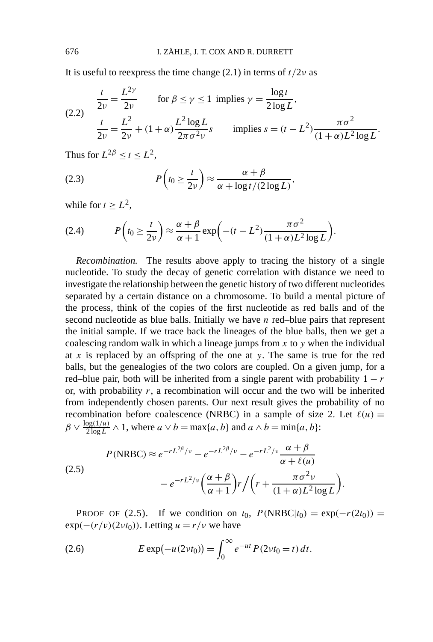It is useful to reexpress the time change  $(2.1)$  in terms of  $t/2\nu$  as

(2.2) 
$$
\frac{t}{2\nu} = \frac{L^{2\gamma}}{2\nu} \quad \text{for } \beta \le \gamma \le 1 \text{ implies } \gamma = \frac{\log t}{2\log L},
$$

$$
\frac{t}{2\nu} = \frac{L^{2}}{2\nu} + (1 + \alpha) \frac{L^{2} \log L}{2\pi \sigma^{2} \nu} s \quad \text{implies } s = (t - L^{2}) \frac{\pi \sigma^{2}}{(1 + \alpha)L^{2} \log L}.
$$

Thus for  $L^{2\beta} < t < L^2$ ,

(2.3) 
$$
P\left(t_0 \geq \frac{t}{2\nu}\right) \approx \frac{\alpha + \beta}{\alpha + \log t/(2\log L)},
$$

while for  $t \geq L^2$ ,

(2.4) 
$$
P\left(t_0 \geq \frac{t}{2\nu}\right) \approx \frac{\alpha + \beta}{\alpha + 1} \exp\left(-(t - L^2) \frac{\pi \sigma^2}{(1 + \alpha)L^2 \log L}\right).
$$

*Recombination.* The results above apply to tracing the history of a single nucleotide. To study the decay of genetic correlation with distance we need to investigate the relationship between the genetic history of two different nucleotides separated by a certain distance on a chromosome. To build a mental picture of the process, think of the copies of the first nucleotide as red balls and of the second nucleotide as blue balls. Initially we have *n* red–blue pairs that represent the initial sample. If we trace back the lineages of the blue balls, then we get a coalescing random walk in which a lineage jumps from *x* to *y* when the individual at *x* is replaced by an offspring of the one at *y*. The same is true for the red balls, but the genealogies of the two colors are coupled. On a given jump, for a red–blue pair, both will be inherited from a single parent with probability  $1 - r$ or, with probability *r*, a recombination will occur and the two will be inherited from independently chosen parents. Our next result gives the probability of no recombination before coalescence (NRBC) in a sample of size 2. Let  $\ell(u)$  =  $\beta \vee \frac{\log(1/u)}{2 \log L} \wedge 1$ , where  $a \vee b = \max\{a, b\}$  and  $a \wedge b = \min\{a, b\}$ :

$$
P(\text{NRBC}) \approx e^{-rL^{2\beta}/\nu} - e^{-rL^{2\beta}/\nu} - e^{-rL^{2}/\nu} \frac{\alpha + \beta}{\alpha + \ell(\mu)}
$$
  
(2.5)  

$$
-e^{-rL^{2}/\nu} \left(\frac{\alpha + \beta}{\alpha + 1}\right) r \left/ \left(r + \frac{\pi \sigma^{2} \nu}{(1 + \alpha)L^{2} \log L}\right)\right).
$$

**PROOF OF (2.5).** If we condition on  $t_0$ ,  $P(\text{NRBC}|t_0) = \exp(-r(2t_0))$  $\exp(-(r/\nu)(2\nu t_0))$ . Letting  $u = r/\nu$  we have

(2.6) 
$$
E \exp(-u(2vt_0)) = \int_0^\infty e^{-ut} P(2vt_0 = t) dt.
$$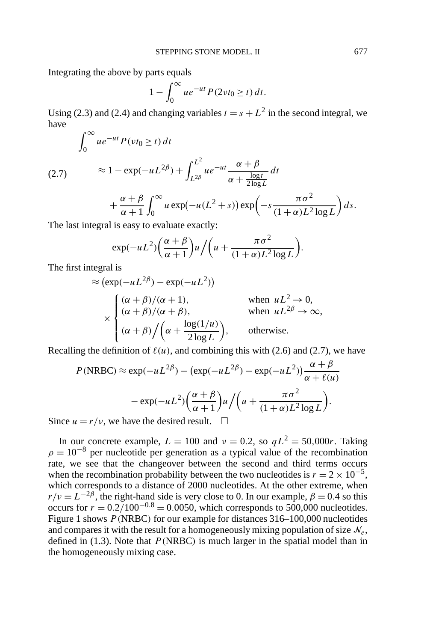Integrating the above by parts equals

$$
1 - \int_0^\infty u e^{-ut} P(2\nu t_0 \ge t) dt.
$$

Using (2.3) and (2.4) and changing variables  $t = s + L^2$  in the second integral, we have

$$
\int_0^\infty u e^{-ut} P(vt_0 \ge t) dt
$$

 $\approx 1 - \exp(-uL^{2\beta}) + \int_{-\infty}^{L^2}$ *L*2*<sup>β</sup>*  $ue^{-ut}$   $\frac{\alpha + \beta}{\log n}$  $\alpha + \frac{\log t}{2 \log L}$ (2.7)  $\approx 1 - \exp(-uL^{2\beta}) + \int_{L^{2\beta}} u e^{-ut} \frac{du}{du} + \frac{dv}{du} dt$  $+\frac{\alpha+\beta}{\alpha}$ *α* + 1  $\int_0^\infty$  $\int_0^\infty u \exp(-u(L^2+s)) \exp\left(-s\frac{\pi\sigma^2}{(1+\alpha)L^2}\right)$  $(1 + \alpha)L^2 \log L$  $\bigg) ds.$ 

The last integral is easy to evaluate exactly:

$$
\exp(-uL^2)\left(\frac{\alpha+\beta}{\alpha+1}\right)u/\left(u+\frac{\pi\sigma^2}{(1+\alpha)L^2\log L}\right).
$$

The first integral is

$$
\approx (\exp(-uL^{2\beta}) - \exp(-uL^{2}))
$$
  
\n
$$
\times \begin{cases}\n(\alpha + \beta)/(\alpha + 1), & \text{when } uL^{2} \to 0, \\
(\alpha + \beta)/(\alpha + \beta), & \text{when } uL^{2\beta} \to \infty, \\
(\alpha + \beta)/(\alpha + \frac{\log(1/u)}{2\log L}), & \text{otherwise.} \n\end{cases}
$$

Recalling the definition of  $\ell(u)$ , and combining this with (2.6) and (2.7), we have

$$
P(\text{NRBC}) \approx \exp(-uL^{2\beta}) - (\exp(-uL^{2\beta}) - \exp(-uL^{2})) \frac{\alpha + \beta}{\alpha + \ell(u)}
$$

$$
- \exp(-uL^{2}) \left(\frac{\alpha + \beta}{\alpha + 1}\right) u / \left(u + \frac{\pi \sigma^{2}}{(1 + \alpha)L^{2} \log L}\right).
$$

Since  $u = r/v$ , we have the desired result.  $\Box$ 

In our concrete example,  $L = 100$  and  $v = 0.2$ , so  $qL^2 = 50,000r$ . Taking  $\rho = 10^{-8}$  per nucleotide per generation as a typical value of the recombination rate, we see that the changeover between the second and third terms occurs when the recombination probability between the two nucleotides is  $r = 2 \times 10^{-5}$ , which corresponds to a distance of 2000 nucleotides. At the other extreme, when  $r/v = L^{-2\beta}$ , the right-hand side is very close to 0. In our example,  $\beta = 0.4$  so this occurs for  $r = 0.2/100^{-0.8} = 0.0050$ , which corresponds to 500,000 nucleotides. Figure 1 shows *P (*NRBC*)* for our example for distances 316–100,000 nucleotides and compares it with the result for a homogeneously mixing population of size  $\mathcal{N}_e$ , defined in (1.3). Note that *P (*NRBC*)* is much larger in the spatial model than in the homogeneously mixing case.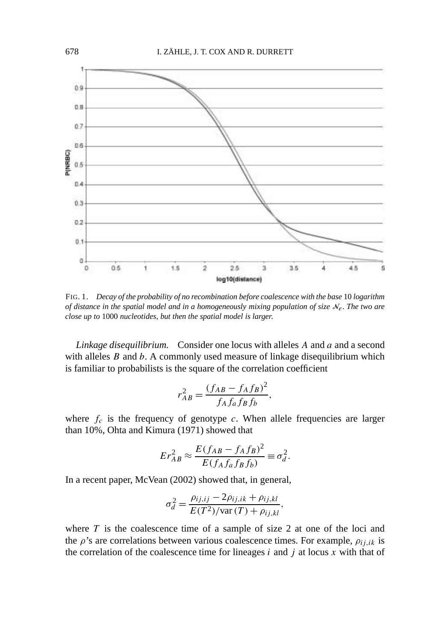

FIG. 1. *Decay of the probability of no recombination before coalescence with the base* 10 *logarithm of distance in the spatial model and in a homogeneously mixing population of size*  $N_e$ . The two are *close up to* 1000 *nucleotides*, *but then the spatial model is larger*.

*Linkage disequilibrium.* Consider one locus with alleles *A* and *a* and a second with alleles *B* and *b*. A commonly used measure of linkage disequilibrium which is familiar to probabilists is the square of the correlation coefficient

$$
r_{AB}^2 = \frac{(f_{AB} - f_A f_B)^2}{f_A f_a f_B f_b},
$$

where  $f_c$  is the frequency of genotype  $c$ . When allele frequencies are larger than 10%, Ohta and Kimura (1971) showed that

$$
Er_{AB}^2 \approx \frac{E(f_{AB} - f_A f_B)^2}{E(f_A f_a f_B f_b)} \equiv \sigma_d^2.
$$

In a recent paper, McVean (2002) showed that, in general,

$$
\sigma_d^2 = \frac{\rho_{ij,ij} - 2\rho_{ij,ik} + \rho_{ij,kl}}{E(T^2)/\text{var}(T) + \rho_{ij,kl}},
$$

where  $T$  is the coalescence time of a sample of size  $2$  at one of the loci and the  $\rho$ 's are correlations between various coalescence times. For example,  $\rho_{i,j,k}$  is the correlation of the coalescence time for lineages  $i$  and  $j$  at locus  $x$  with that of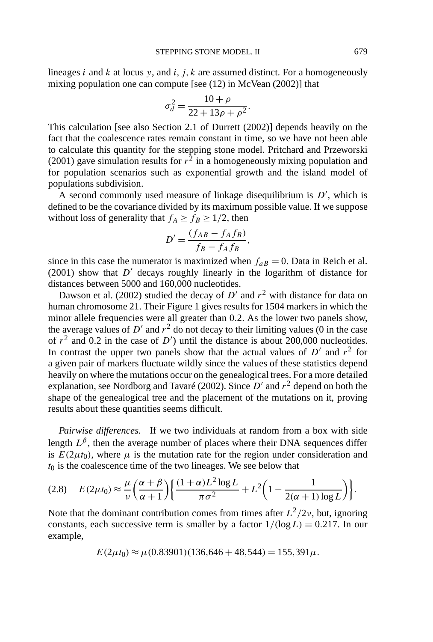lineages *i* and *k* at locus *y*, and *i, j, k* are assumed distinct. For a homogeneously mixing population one can compute [see (12) in McVean (2002)] that

$$
\sigma_d^2 = \frac{10 + \rho}{22 + 13\rho + \rho^2}.
$$

This calculation [see also Section 2.1 of Durrett (2002)] depends heavily on the fact that the coalescence rates remain constant in time, so we have not been able to calculate this quantity for the stepping stone model. Pritchard and Przeworski (2001) gave simulation results for  $r^2$  in a homogeneously mixing population and for population scenarios such as exponential growth and the island model of populations subdivision.

A second commonly used measure of linkage disequilibrium is  $D'$ , which is defined to be the covariance divided by its maximum possible value. If we suppose without loss of generality that  $f_A \ge f_B \ge 1/2$ , then

$$
D' = \frac{(f_{AB} - f_A f_B)}{f_B - f_A f_B},
$$

since in this case the numerator is maximized when  $f_{aB} = 0$ . Data in Reich et al.  $(2001)$  show that  $D'$  decays roughly linearly in the logarithm of distance for distances between 5000 and 160,000 nucleotides.

Dawson et al. (2002) studied the decay of  $D'$  and  $r^2$  with distance for data on human chromosome 21. Their Figure 1 gives results for 1504 markers in which the minor allele frequencies were all greater than 0*.*2. As the lower two panels show, the average values of  $D'$  and  $r^2$  do not decay to their limiting values (0 in the case of  $r^2$  and 0.2 in the case of  $D'$ ) until the distance is about 200,000 nucleotides. In contrast the upper two panels show that the actual values of  $D'$  and  $r^2$  for a given pair of markers fluctuate wildly since the values of these statistics depend heavily on where the mutations occur on the genealogical trees. For a more detailed explanation, see Nordborg and Tavaré (2002). Since  $D'$  and  $r^2$  depend on both the shape of the genealogical tree and the placement of the mutations on it, proving results about these quantities seems difficult.

*Pairwise differences.* If we two individuals at random from a box with side length  $L^{\beta}$ , then the average number of places where their DNA sequences differ is  $E(2\mu t_0)$ , where  $\mu$  is the mutation rate for the region under consideration and  $t_0$  is the coalescence time of the two lineages. We see below that

$$
(2.8) \quad E(2\mu t_0) \approx \frac{\mu}{\nu} \left( \frac{\alpha + \beta}{\alpha + 1} \right) \left\{ \frac{(1 + \alpha)L^2 \log L}{\pi \sigma^2} + L^2 \left( 1 - \frac{1}{2(\alpha + 1) \log L} \right) \right\}.
$$

Note that the dominant contribution comes from times after  $L^2/2\nu$ , but, ignoring constants, each successive term is smaller by a factor  $1/(\log L) = 0.217$ . In our example,

$$
E(2\mu t_0) \approx \mu(0.83901)(136,646 + 48,544) = 155,391\mu.
$$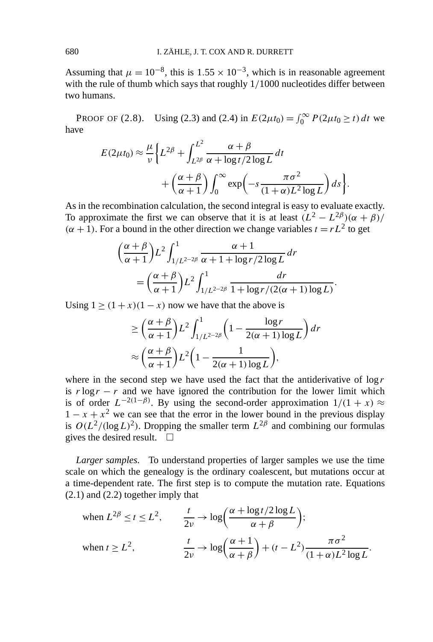Assuming that  $\mu = 10^{-8}$ , this is 1.55 × 10<sup>-3</sup>, which is in reasonable agreement with the rule of thumb which says that roughly 1*/*1000 nucleotides differ between two humans.

PROOF OF (2.8). Using (2.3) and (2.4) in  $E(2\mu t_0) = \int_0^\infty P(2\mu t_0 \ge t) dt$  we have

$$
E(2\mu t_0) \approx \frac{\mu}{\nu} \Biggl\{ L^{2\beta} + \int_{L^{2\beta}}^{L^2} \frac{\alpha + \beta}{\alpha + \log t/2 \log L} dt + \left( \frac{\alpha + \beta}{\alpha + 1} \right) \int_0^\infty \exp\left( -s \frac{\pi \sigma^2}{(1 + \alpha) L^2 \log L} \right) ds \Biggr\}.
$$

As in the recombination calculation, the second integral is easy to evaluate exactly. To approximate the first we can observe that it is at least  $(L^2 - L^{2\beta})(\alpha + \beta)$ /  $(\alpha + 1)$ . For a bound in the other direction we change variables  $t = rL^2$  to get

$$
\left(\frac{\alpha+\beta}{\alpha+1}\right)L^2 \int_{1/L^{2-2\beta}}^1 \frac{\alpha+1}{\alpha+1 + \log r/2 \log L} dr
$$
  
= 
$$
\left(\frac{\alpha+\beta}{\alpha+1}\right)L^2 \int_{1/L^{2-2\beta}}^1 \frac{dr}{1 + \log r/(2(\alpha+1)\log L)}.
$$

Using  $1 > (1 + x)(1 - x)$  now we have that the above is

$$
\geq \left(\frac{\alpha+\beta}{\alpha+1}\right)L^2 \int_{1/L^{2-2\beta}}^1 \left(1 - \frac{\log r}{2(\alpha+1)\log L}\right) dr
$$

$$
\approx \left(\frac{\alpha+\beta}{\alpha+1}\right)L^2 \left(1 - \frac{1}{2(\alpha+1)\log L}\right),
$$

where in the second step we have used the fact that the antiderivative of  $\log r$ is  $r \log r - r$  and we have ignored the contribution for the lower limit which is of order  $L^{-2(1-\beta)}$ . By using the second-order approximation  $1/(1 + x) \approx$  $1 - x + x<sup>2</sup>$  we can see that the error in the lower bound in the previous display is  $O(L^2/(\log L)^2)$ . Dropping the smaller term  $L^{2\beta}$  and combining our formulas gives the desired result.  $\square$ 

*Larger samples.* To understand properties of larger samples we use the time scale on which the genealogy is the ordinary coalescent, but mutations occur at a time-dependent rate. The first step is to compute the mutation rate. Equations (2.1) and (2.2) together imply that

when 
$$
L^{2\beta} \le t \le L^2
$$
,  $\frac{t}{2\nu} \to \log\left(\frac{\alpha + \log t/2 \log L}{\alpha + \beta}\right)$ ;  
\nwhen  $t \ge L^2$ ,  $\frac{t}{2\nu} \to \log\left(\frac{\alpha + 1}{\alpha + \beta}\right) + (t - L^2) \frac{\pi \sigma^2}{(1 + \alpha)L^2 \log L}$ .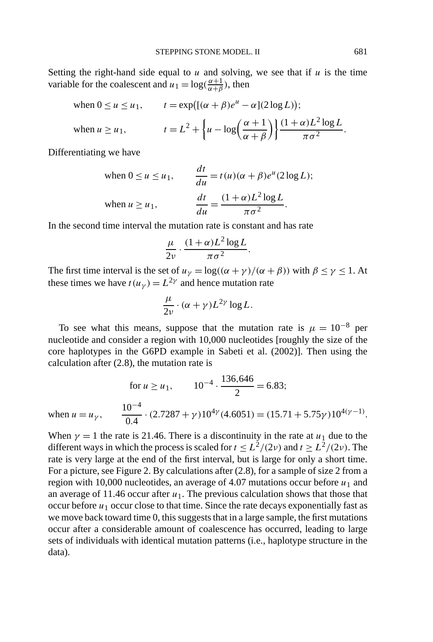Setting the right-hand side equal to  $u$  and solving, we see that if  $u$  is the time variable for the coalescent and  $u_1 = \log(\frac{\alpha+1}{\alpha+\beta})$ , then

when 
$$
0 \le u \le u_1
$$
,  $t = \exp\left(\left[(\alpha + \beta)e^u - \alpha\right](2\log L)\right);$   
when  $u \ge u_1$ ,  $t = L^2 + \left\{u - \log\left(\frac{\alpha + 1}{\alpha + \beta}\right)\right\} \frac{(1 + \alpha)L^2 \log L}{\pi \sigma^2}.$ 

Differentiating we have

when 
$$
0 \le u \le u_1
$$
, 
$$
\frac{dt}{du} = t(u)(\alpha + \beta)e^u(2\log L);
$$
  
when  $u \ge u_1$ , 
$$
\frac{dt}{du} = \frac{(1+\alpha)L^2 \log L}{\pi \sigma^2}.
$$

In the second time interval the mutation rate is constant and has rate

$$
\frac{\mu}{2\nu}\cdot\frac{(1+\alpha)L^2\log L}{\pi\sigma^2}.
$$

The first time interval is the set of  $u_{\gamma} = \log((\alpha + \gamma)/(\alpha + \beta))$  with  $\beta \le \gamma \le 1$ . At these times we have  $t(u<sub>\gamma</sub>) = L<sup>2</sup>\gamma$  and hence mutation rate

$$
\frac{\mu}{2\nu}\cdot(\alpha+\gamma)L^{2\gamma}\log L.
$$

To see what this means, suppose that the mutation rate is  $\mu = 10^{-8}$  per nucleotide and consider a region with 10,000 nucleotides [roughly the size of the core haplotypes in the G6PD example in Sabeti et al. (2002)]. Then using the calculation after (2.8), the mutation rate is

$$
\text{for } u \ge u_1, \qquad 10^{-4} \cdot \frac{136,646}{2} = 6.83;
$$
\n
$$
\text{when } u = u_\gamma, \qquad \frac{10^{-4}}{0.4} \cdot (2.7287 + \gamma)10^{4\gamma} (4.6051) = (15.71 + 5.75\gamma)10^{4(\gamma - 1)}.
$$

When  $\gamma = 1$  the rate is 21.46. There is a discontinuity in the rate at  $u_1$  due to the different ways in which the process is scaled for  $t \le L^2/(2\nu)$  and  $t \ge L^2/(2\nu)$ . The rate is very large at the end of the first interval, but is large for only a short time. For a picture, see Figure 2. By calculations after (2.8), for a sample of size 2 from a region with 10,000 nucleotides, an average of 4.07 mutations occur before  $u_1$  and an average of 11.46 occur after  $u_1$ . The previous calculation shows that those that occur before  $u_1$  occur close to that time. Since the rate decays exponentially fast as we move back toward time 0, this suggests that in a large sample, the first mutations occur after a considerable amount of coalescence has occurred, leading to large sets of individuals with identical mutation patterns (i.e., haplotype structure in the data).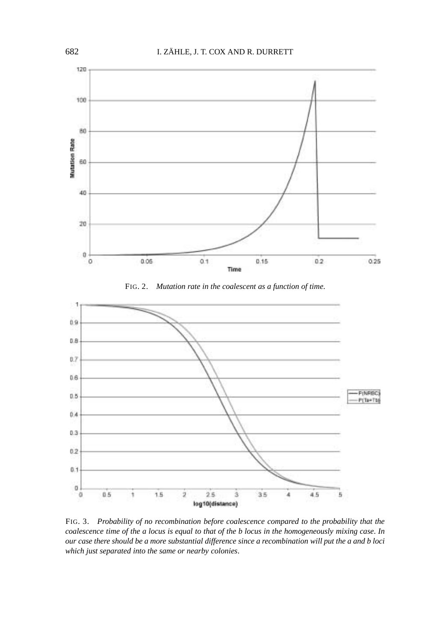

FIG. 2. *Mutation rate in the coalescent as a function of time*.



FIG. 3. *Probability of no recombination before coalescence compared to the probability that the coalescence time of the a locus is equal to that of the b locus in the homogeneously mixing case*. *In our case there should be a more substantial difference since a recombination will put the a and b loci which just separated into the same or nearby colonies*.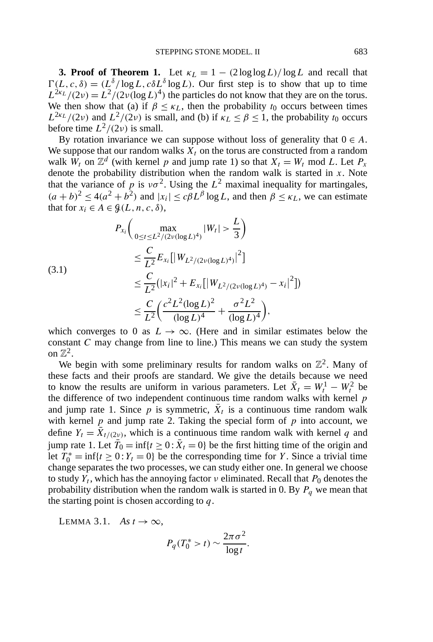**3. Proof of Theorem 1.** Let  $\kappa_L = 1 - (2 \log \log L)/\log L$  and recall that  $\Gamma(L, c, \delta) = (L^{\delta}/\log L, c\delta L^{\delta}\log L)$ . Our first step is to show that up to time  $L^{2k}L/(2\nu) = L^2/(2\nu(\log L)^4)$  the particles do not know that they are on the torus. We then show that (a) if  $\beta \leq \kappa_L$ , then the probability  $t_0$  occurs between times  $L^{2k}L/(2\nu)$  and  $L^2/(2\nu)$  is small, and (b) if  $\kappa_L \leq \beta \leq 1$ , the probability  $t_0$  occurs before time  $L^2/(2\nu)$  is small.

By rotation invariance we can suppose without loss of generality that  $0 \in A$ . We suppose that our random walks  $X_t$  on the torus are constructed from a random walk  $W_t$  on  $\mathbb{Z}^d$  (with kernel *p* and jump rate 1) so that  $X_t = W_t \text{ mod } L$ . Let  $P_x$ denote the probability distribution when the random walk is started in *x*. Note that the variance of *p* is  $v\sigma^2$ . Using the  $L^2$  maximal inequality for martingales,  $(a + b)^2 \le 4(a^2 + b^2)$  and  $|x_i| \le c\beta L^{\beta} \log L$ , and then  $\beta \le \kappa_L$ , we can estimate that for  $x_i \in A \in \mathcal{G}(L, n, c, \delta)$ ,

$$
P_{x_i}\Big(\max_{0 \le t \le L^2/(2\nu(\log L)^4)} |W_t| > \frac{L}{3}\Big)
$$
  
\n
$$
\le \frac{C}{L^2} E_{x_i} [|W_{L^2/(2\nu(\log L)^4)}|^2]
$$
  
\n
$$
\le \frac{C}{L^2} (|x_i|^2 + E_{x_i} [|W_{L^2/(2\nu(\log L)^4)} - x_i|^2])
$$
  
\n
$$
\le \frac{C}{L^2} \Big(\frac{c^2 L^2 (\log L)^2}{(\log L)^4} + \frac{\sigma^2 L^2}{(\log L)^4}\Big),
$$

which converges to 0 as  $L \to \infty$ . (Here and in similar estimates below the constant *C* may change from line to line.) This means we can study the system on  $\mathbb{Z}^2$ .

We begin with some preliminary results for random walks on  $\mathbb{Z}^2$ . Many of these facts and their proofs are standard. We give the details because we need to know the results are uniform in various parameters. Let  $\bar{X}_t = W_t^1 - W_t^2$  be the difference of two independent continuous time random walks with kernel *p* and jump rate 1. Since  $p$  is symmetric,  $\bar{X}_t$  is a continuous time random walk with kernel  $p$  and jump rate 2. Taking the special form of  $p$  into account, we define  $Y_t = \overline{X}_{t/(2\nu)}$ , which is a continuous time random walk with kernel q and jump rate 1. Let  $\overline{T}_0 = \inf\{t \geq 0 : \overline{X}_t = 0\}$  be the first hitting time of the origin and let  $T_0^* = \inf\{t \ge 0 : Y_t = 0\}$  be the corresponding time for *Y*. Since a trivial time change separates the two processes, we can study either one. In general we choose to study  $Y_t$ , which has the annoying factor  $\nu$  eliminated. Recall that  $P_0$  denotes the probability distribution when the random walk is started in 0. By  $P_q$  we mean that the starting point is chosen according to *q*.

LEMMA 3.1. *As*  $t \to \infty$ ,

$$
P_q(T_0^* > t) \sim \frac{2\pi\sigma^2}{\log t}.
$$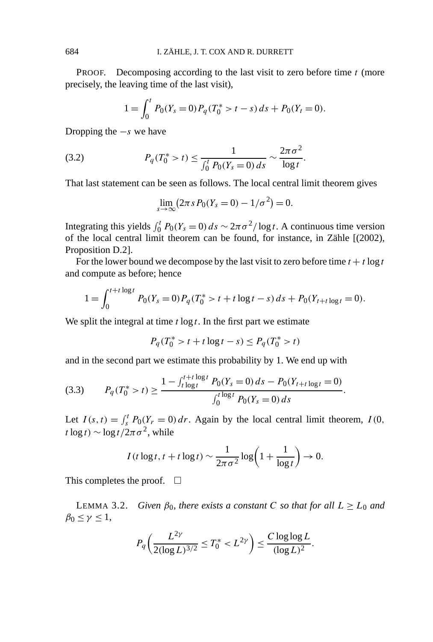PROOF. Decomposing according to the last visit to zero before time *t* (more precisely, the leaving time of the last visit),

$$
1 = \int_0^t P_0(Y_s = 0) P_q(T_0^* > t - s) ds + P_0(Y_t = 0).
$$

Dropping the −*s* we have

(3.2) 
$$
P_q(T_0^* > t) \leq \frac{1}{\int_0^t P_0(Y_s = 0) \, ds} \sim \frac{2\pi\sigma^2}{\log t}.
$$

That last statement can be seen as follows. The local central limit theorem gives

$$
\lim_{s \to \infty} (2\pi s P_0(Y_s = 0) - 1/\sigma^2) = 0.
$$

Integrating this yields  $\int_0^t P_0(Y_s = 0) ds \sim 2\pi \sigma^2 / \log t$ . A continuous time version of the local central limit theorem can be found, for instance, in Zähle [(2002), Proposition D.2].

For the lower bound we decompose by the last visit to zero before time  $t + t \log t$ and compute as before; hence

$$
1 = \int_0^{t+t \log t} P_0(Y_s = 0) P_q(T_0^* > t + t \log t - s) ds + P_0(Y_{t+t \log t} = 0).
$$

We split the integral at time  $t \log t$ . In the first part we estimate

$$
P_q(T_0^* > t + t \log t - s) \le P_q(T_0^* > t)
$$

and in the second part we estimate this probability by 1. We end up with

$$
(3.3) \tP_q(T_0^* > t) \ge \frac{1 - \int_{t \log t}^{t+t \log t} P_0(Y_s = 0) ds - P_0(Y_{t+t \log t} = 0)}{\int_0^{t \log t} P_0(Y_s = 0) ds}.
$$

Let  $I(s, t) = \int_s^t P_0(Y_r = 0) dr$ . Again by the local central limit theorem,  $I(0, t)$  $t \log t$ ) ∼  $\log t / 2\pi \sigma^2$ , while

$$
I(t \log t, t + t \log t) \sim \frac{1}{2\pi\sigma^2} \log\left(1 + \frac{1}{\log t}\right) \to 0.
$$

This completes the proof.  $\Box$ 

**LEMMA** 3.2. *Given*  $\beta_0$ *, there exists a constant C so that for all*  $L \ge L_0$  *and*  $\beta_0 \leq \gamma \leq 1$ ,

$$
P_q\bigg(\frac{L^{2\gamma}}{2(\log L)^{3/2}}\leq T_0^*
$$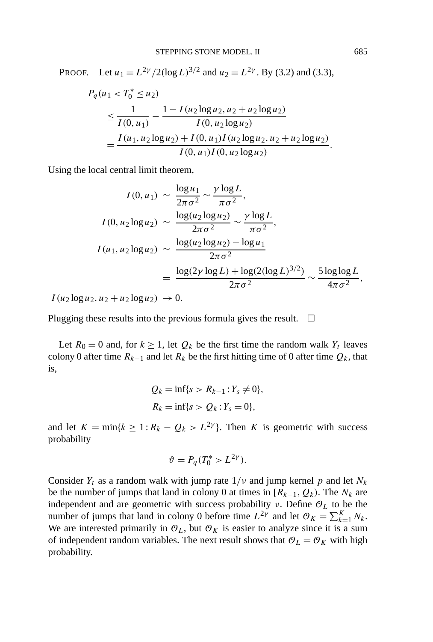PROOF. Let  $u_1 = L^{2\gamma}/2(\log L)^{3/2}$  and  $u_2 = L^{2\gamma}$ . By (3.2) and (3.3),

$$
P_q(u_1 < T_0^* \le u_2)
$$
\n
$$
\le \frac{1}{I(0, u_1)} - \frac{1 - I(u_2 \log u_2, u_2 + u_2 \log u_2)}{I(0, u_2 \log u_2)}
$$
\n
$$
= \frac{I(u_1, u_2 \log u_2) + I(0, u_1)I(u_2 \log u_2, u_2 + u_2 \log u_2)}{I(0, u_1)I(0, u_2 \log u_2)}.
$$

Using the local central limit theorem,

$$
I(0, u_1) \sim \frac{\log u_1}{2\pi\sigma^2} \sim \frac{\gamma \log L}{\pi\sigma^2},
$$
  
\n
$$
I(0, u_2 \log u_2) \sim \frac{\log (u_2 \log u_2)}{2\pi\sigma^2} \sim \frac{\gamma \log L}{\pi\sigma^2},
$$
  
\n
$$
I(u_1, u_2 \log u_2) \sim \frac{\log (u_2 \log u_2) - \log u_1}{2\pi\sigma^2}
$$
  
\n
$$
= \frac{\log(2\gamma \log L) + \log(2(\log L)^{3/2})}{2\pi\sigma^2} \sim \frac{5 \log \log L}{4\pi\sigma^2},
$$

 $I(u_2 \log u_2, u_2 + u_2 \log u_2) \to 0.$ 

Plugging these results into the previous formula gives the result.  $\Box$ 

Let  $R_0 = 0$  and, for  $k \ge 1$ , let  $Q_k$  be the first time the random walk  $Y_t$  leaves colony 0 after time  $R_{k-1}$  and let  $R_k$  be the first hitting time of 0 after time  $Q_k$ , that is,

$$
Q_k = \inf\{s > R_{k-1} : Y_s \neq 0\},\,
$$
  

$$
R_k = \inf\{s > Q_k : Y_s = 0\},\,
$$

and let  $K = \min\{k \geq 1 : R_k - Q_k > L^{2\gamma}\}\$ . Then *K* is geometric with success probability

$$
\vartheta=P_q(T_0^*>L^{2\gamma}).
$$

Consider  $Y_t$  as a random walk with jump rate  $1/v$  and jump kernel p and let  $N_k$ be the number of jumps that land in colony 0 at times in  $[R_{k-1}, Q_k)$ . The  $N_k$  are independent and are geometric with success probability *ν*. Define O*<sup>L</sup>* to be the number of jumps that land in colony 0 before time  $L^{2\gamma}$  and let  $\mathcal{O}_K = \sum_{k=1}^K N_k$ . We are interested primarily in  $\mathcal{O}_L$ , but  $\mathcal{O}_K$  is easier to analyze since it is a sum of independent random variables. The next result shows that  $\mathcal{O}_L = \mathcal{O}_K$  with high probability.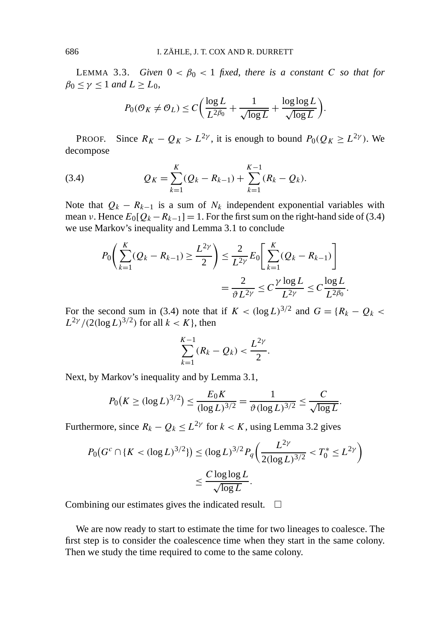LEMMA 3.3. *Given*  $0 < \beta_0 < 1$  *fixed, there is a constant C so that for*  $\beta_0 \leq \gamma \leq 1$  *and*  $L \geq L_0$ ,

$$
P_0(\mathcal{O}_K \neq \mathcal{O}_L) \le C \bigg( \frac{\log L}{L^{2\beta_0}} + \frac{1}{\sqrt{\log L}} + \frac{\log \log L}{\sqrt{\log L}} \bigg).
$$

PROOF. Since  $R_K - Q_K > L^{2\gamma}$ , it is enough to bound  $P_0(Q_K \geq L^{2\gamma})$ . We decompose

(3.4) 
$$
Q_K = \sum_{k=1}^K (Q_k - R_{k-1}) + \sum_{k=1}^{K-1} (R_k - Q_k).
$$

Note that  $Q_k - R_{k-1}$  is a sum of  $N_k$  independent exponential variables with mean *ν*. Hence  $E_0[Q_k - R_{k-1}] = 1$ . For the first sum on the right-hand side of (3.4) we use Markov's inequality and Lemma 3.1 to conclude

$$
P_0\left(\sum_{k=1}^K (Q_k - R_{k-1}) \ge \frac{L^{2\gamma}}{2}\right) \le \frac{2}{L^{2\gamma}} E_0\left[\sum_{k=1}^K (Q_k - R_{k-1})\right]
$$

$$
= \frac{2}{\vartheta L^{2\gamma}} \le C \frac{\gamma \log L}{L^{2\gamma}} \le C \frac{\log L}{L^{2\beta_0}}.
$$

For the second sum in (3.4) note that if  $K < (\log L)^{3/2}$  and  $G = \{R_k - Q_k <$ *L*<sup>2*γ*</sup> /(2(log *L*)<sup>3/2</sup>) for all *k* < *K*}, then

$$
\sum_{k=1}^{K-1} (R_k - Q_k) < \frac{L^{2\gamma}}{2}.
$$

Next, by Markov's inequality and by Lemma 3.1,

$$
P_0(K \ge (\log L)^{3/2}) \le \frac{E_0 K}{(\log L)^{3/2}} = \frac{1}{\vartheta (\log L)^{3/2}} \le \frac{C}{\sqrt{\log L}}.
$$

Furthermore, since  $R_k - Q_k \leq L^{2\gamma}$  for  $k < K$ , using Lemma 3.2 gives

$$
P_0(G^c \cap \{K < (\log L)^{3/2}\}) \le (\log L)^{3/2} P_q\left(\frac{L^{2\gamma}}{2(\log L)^{3/2}} < T_0^* \le L^{2\gamma}\right) \le \frac{C \log \log L}{\sqrt{\log L}}.
$$

Combining our estimates gives the indicated result.  $\Box$ 

We are now ready to start to estimate the time for two lineages to coalesce. The first step is to consider the coalescence time when they start in the same colony. Then we study the time required to come to the same colony.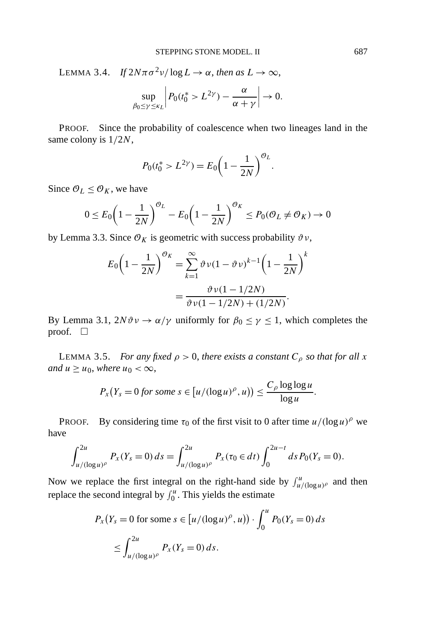LEMMA 3.4. *If*  $2N\pi\sigma^2 v/\log L \to \alpha$ , *then as*  $L \to \infty$ ,

$$
\sup_{\beta_0 \le \gamma \le \kappa_L} \left| P_0(t_0^* > L^{2\gamma}) - \frac{\alpha}{\alpha + \gamma} \right| \to 0.
$$

PROOF. Since the probability of coalescence when two lineages land in the same colony is 1*/*2*N*,

$$
P_0(t_0^* > L^{2\gamma}) = E_0 \left(1 - \frac{1}{2N}\right)^{\mathcal{O}_L}.
$$

Since  $\mathcal{O}_L \leq \mathcal{O}_K$ , we have

$$
0 \le E_0 \left(1 - \frac{1}{2N}\right)^{\mathcal{O}_L} - E_0 \left(1 - \frac{1}{2N}\right)^{\mathcal{O}_K} \le P_0(\mathcal{O}_L \ne \mathcal{O}_K) \to 0
$$

by Lemma 3.3. Since  $\mathcal{O}_K$  is geometric with success probability  $\vartheta v$ ,

$$
E_0 \left( 1 - \frac{1}{2N} \right)^{\mathcal{O}_K} = \sum_{k=1}^{\infty} \vartheta \nu (1 - \vartheta \nu)^{k-1} \left( 1 - \frac{1}{2N} \right)^k
$$

$$
= \frac{\vartheta \nu (1 - 1/2N)}{\vartheta \nu (1 - 1/2N) + (1/2N)}.
$$

By Lemma 3.1,  $2N\vartheta v \to \alpha/\gamma$  uniformly for  $\beta_0 \le \gamma \le 1$ , which completes the proof.  $\square$ 

LEMMA 3.5. *For any fixed*  $\rho > 0$ , *there exists a constant*  $C_{\rho}$  *so that for all x and*  $u \geq u_0$ *, where*  $u_0 < \infty$ *,* 

$$
P_x(Y_s = 0 \text{ for some } s \in [u/(\log u)^{\rho}, u)) \leq \frac{C_{\rho} \log \log u}{\log u}.
$$

PROOF. By considering time  $\tau_0$  of the first visit to 0 after time  $u/(\log u)$ <sup> $\rho$ </sup> we have

$$
\int_{u/(\log u)^{\rho}}^{2u} P_x(Y_s=0) \, ds = \int_{u/(\log u)^{\rho}}^{2u} P_x(\tau_0 \in dt) \int_0^{2u-t} ds \, P_0(Y_s=0).
$$

Now we replace the first integral on the right-hand side by  $\int_{u/(\log u)^{\rho}}^{u}$  and then replace the second integral by  $\int_0^u$ . This yields the estimate

$$
P_x(Y_s = 0 \text{ for some } s \in [u/(\log u)^{\rho}, u)) \cdot \int_0^u P_0(Y_s = 0) ds
$$
  

$$
\leq \int_{u/(\log u)^{\rho}}^{2u} P_x(Y_s = 0) ds.
$$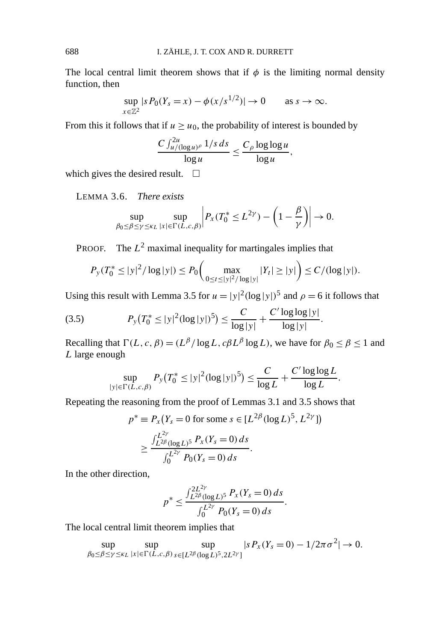The local central limit theorem shows that if  $\phi$  is the limiting normal density function, then

$$
\sup_{x \in \mathbb{Z}^2} |s P_0(Y_s = x) - \phi(x/s^{1/2})| \to 0 \quad \text{as } s \to \infty.
$$

From this it follows that if  $u \geq u_0$ , the probability of interest is bounded by

$$
\frac{C \int_{u/(\log u)^{\rho}}^{2u} 1/s \, ds}{\log u} \le \frac{C_{\rho} \log \log u}{\log u},
$$

which gives the desired result.  $\square$ 

LEMMA 3.6. *There exists*

$$
\sup_{\beta_0 \le \beta \le \gamma \le \kappa_L} \sup_{|x| \in \Gamma(L,c,\beta)} \left| P_x(T_0^* \le L^{2\gamma}) - \left(1 - \frac{\beta}{\gamma}\right) \right| \to 0.
$$

PROOF. The  $L^2$  maximal inequality for martingales implies that

$$
P_{y}(T_0^* \le |y|^2/\log|y|) \le P_0\bigg(\max_{0 \le t \le |y|^2/\log|y|} |Y_t| \ge |y|\bigg) \le C/(\log|y|).
$$

Using this result with Lemma 3.5 for  $u = |y|^2 (\log |y|)^5$  and  $\rho = 6$  it follows that

(3.5) 
$$
P_{y}(T_0^* \le |y|^2 (\log |y|)^5) \le \frac{C}{\log |y|} + \frac{C' \log \log |y|}{\log |y|}.
$$

Recalling that  $\Gamma(L, c, \beta) = (L^{\beta}/\log L, c\beta L^{\beta} \log L)$ , we have for  $\beta_0 \le \beta \le 1$  and *L* large enough

$$
\sup_{|y| \in \Gamma(L,c,\beta)} P_y(T_0^* \le |y|^2 (\log |y|)^5) \le \frac{C}{\log L} + \frac{C' \log \log L}{\log L}.
$$

Repeating the reasoning from the proof of Lemmas 3.1 and 3.5 shows that

$$
p^* \equiv P_x(Y_s = 0 \text{ for some } s \in [L^{2\beta}(\log L)^5, L^{2\gamma}])
$$
  
 
$$
\geq \frac{\int_{L^{2\beta}(\log L)^5}^{L^{2\gamma}} P_x(Y_s = 0) ds}{\int_0^{L^{2\gamma}} P_0(Y_s = 0) ds}.
$$

In the other direction,

$$
p^* \le \frac{\int_{L^{2\beta}}^{2L^{2\gamma}}(\log L)^5 \, P_x(Y_s=0) \, ds}{\int_0^{L^{2\gamma}} P_0(Y_s=0) \, ds}.
$$

The local central limit theorem implies that

$$
\sup_{\beta_0 \leq \beta \leq \gamma \leq \kappa_L} \sup_{|x| \in \Gamma(L,c,\beta)} \sup_{s \in [L^{2\beta}(\log L)^5,2L^{2\gamma}]} |sP_x(Y_s=0) - 1/2\pi\sigma^2| \to 0.
$$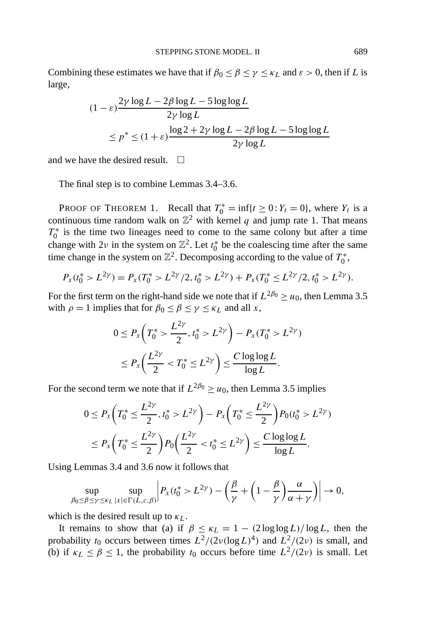Combining these estimates we have that if  $\beta_0 \le \beta \le \gamma \le \kappa_L$  and  $\varepsilon > 0$ , then if *L* is large,

$$
(1 - \varepsilon) \frac{2\gamma \log L - 2\beta \log L - 5 \log \log L}{2\gamma \log L}
$$
  

$$
\le p^* \le (1 + \varepsilon) \frac{\log 2 + 2\gamma \log L - 2\beta \log L - 5 \log \log L}{2\gamma \log L}
$$

and we have the desired result.  $\square$ 

The final step is to combine Lemmas 3.4–3.6.

PROOF OF THEOREM 1. Recall that  $T_0^* = \inf\{t \ge 0 : Y_t = 0\}$ , where  $Y_t$  is a continuous time random walk on  $\mathbb{Z}^2$  with kernel *q* and jump rate 1. That means  $T_0^*$  is the time two lineages need to come to the same colony but after a time change with  $2\nu$  in the system on  $\mathbb{Z}^2$ . Let  $t_0^*$  be the coalescing time after the same time change in the system on  $\mathbb{Z}^2$ . Decomposing according to the value of  $T_0^*$ ,

$$
P_x(t_0^* > L^{2\gamma}) = P_x(T_0^* > L^{2\gamma}/2, t_0^* > L^{2\gamma}) + P_x(T_0^* \le L^{2\gamma}/2, t_0^* > L^{2\gamma}).
$$

For the first term on the right-hand side we note that if  $L^{2\beta_0} \ge u_0$ , then Lemma 3.5 with  $\rho = 1$  implies that for  $\beta_0 \le \beta \le \gamma \le \kappa_L$  and all *x*,

$$
0 \le P_x \left( T_0^* > \frac{L^{2\gamma}}{2}, t_0^* > L^{2\gamma} \right) - P_x (T_0^* > L^{2\gamma})
$$
  

$$
\le P_x \left( \frac{L^{2\gamma}}{2} < T_0^* \le L^{2\gamma} \right) \le \frac{C \log \log L}{\log L}.
$$

For the second term we note that if  $L^{2\beta_0} \ge u_0$ , then Lemma 3.5 implies

$$
0 \le P_x \left( T_0^* \le \frac{L^{2\gamma}}{2}, t_0^* > L^{2\gamma} \right) - P_x \left( T_0^* \le \frac{L^{2\gamma}}{2} \right) P_0(t_0^* > L^{2\gamma})
$$
  

$$
\le P_x \left( T_0^* \le \frac{L^{2\gamma}}{2} \right) P_0 \left( \frac{L^{2\gamma}}{2} < t_0^* \le L^{2\gamma} \right) \le \frac{C \log \log L}{\log L}.
$$

Using Lemmas 3.4 and 3.6 now it follows that

$$
\sup_{\beta_0 \leq \beta \leq \gamma \leq \kappa_L} \sup_{|x| \in \Gamma(L, c, \beta)} \left| P_x(t_0^* > L^{2\gamma}) - \left(\frac{\beta}{\gamma} + \left(1 - \frac{\beta}{\gamma}\right) \frac{\alpha}{\alpha + \gamma}\right) \right| \to 0,
$$

which is the desired result up to *κL*.

It remains to show that (a) if  $\beta \leq \kappa_L = 1 - (2 \log \log L)/\log L$ , then the probability  $t_0$  occurs between times  $L^2/(2\nu(\log L)^4)$  and  $L^2/(2\nu)$  is small, and (b) if  $\kappa_L \leq \beta \leq 1$ , the probability  $t_0$  occurs before time  $L^2/(2\nu)$  is small. Let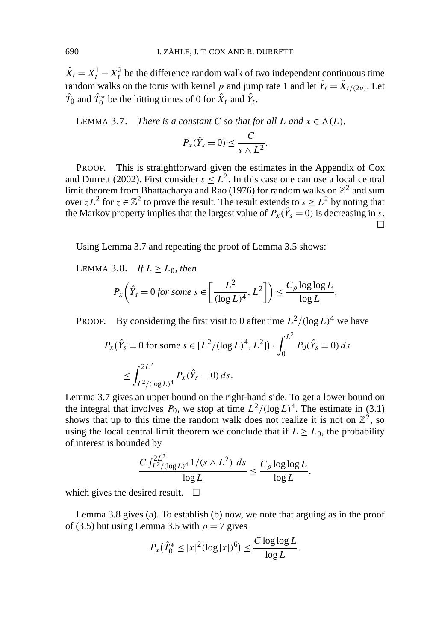$\hat{X}_t = X_t^1 - X_t^2$  be the difference random walk of two independent continuous time random walks on the torus with kernel *p* and jump rate 1 and let  $\hat{Y}_t = \hat{X}_{t/(2\nu)}$ . Let  $\hat{T}_0$  and  $\hat{T}_0^*$  be the hitting times of 0 for  $\hat{X}_t$  and  $\hat{Y}_t$ .

LEMMA 3.7. *There is a constant C so that for all L* and  $x \in \Lambda(L)$ ,

$$
P_{x}(\hat{Y}_{s}=0)\leq \frac{C}{s\wedge L^{2}}.
$$

PROOF. This is straightforward given the estimates in the Appendix of Cox and Durrett (2002). First consider  $s \leq L^2$ . In this case one can use a local central limit theorem from Bhattacharya and Rao (1976) for random walks on  $\mathbb{Z}^2$  and sum over  $zL^2$  for  $z \in \mathbb{Z}^2$  to prove the result. The result extends to  $s \geq L^2$  by noting that the Markov property implies that the largest value of  $P_x(\hat{Y}_s = 0)$  is decreasing in *s*.  $\Box$ 

Using Lemma 3.7 and repeating the proof of Lemma 3.5 shows:

LEMMA 3.8. *If*  $L \ge L_0$ , *then* 

$$
P_{x}\left(\hat{Y}_{s}=0 \text{ for some } s \in \left[\frac{L^{2}}{(\log L)^{4}}, L^{2}\right]\right) \leq \frac{C_{\rho} \log \log L}{\log L}.
$$

**PROOF.** By considering the first visit to 0 after time  $L^2/(\log L)^4$  we have

$$
P_x(\hat{Y}_s = 0 \text{ for some } s \in [L^2/(\log L)^4, L^2]) \cdot \int_0^{L^2} P_0(\hat{Y}_s = 0) ds
$$
  

$$
\leq \int_{L^2/(\log L)^4}^{2L^2} P_x(\hat{Y}_s = 0) ds.
$$

Lemma 3.7 gives an upper bound on the right-hand side. To get a lower bound on the integral that involves  $P_0$ , we stop at time  $L^2/(\log L)^4$ . The estimate in (3.1) shows that up to this time the random walk does not realize it is not on  $\mathbb{Z}^2$ , so using the local central limit theorem we conclude that if  $L \ge L_0$ , the probability of interest is bounded by

$$
\frac{C \int_{L^2/(\log L)^4}^{2L^2} 1/(s \wedge L^2) ds}{\log L} \le \frac{C_\rho \log \log L}{\log L},
$$

which gives the desired result.  $\square$ 

Lemma 3.8 gives (a). To establish (b) now, we note that arguing as in the proof of (3.5) but using Lemma 3.5 with  $\rho = 7$  gives

$$
P_x(\hat{T}_0^* \leq |x|^2 (\log |x|)^6) \leq \frac{C \log \log L}{\log L}.
$$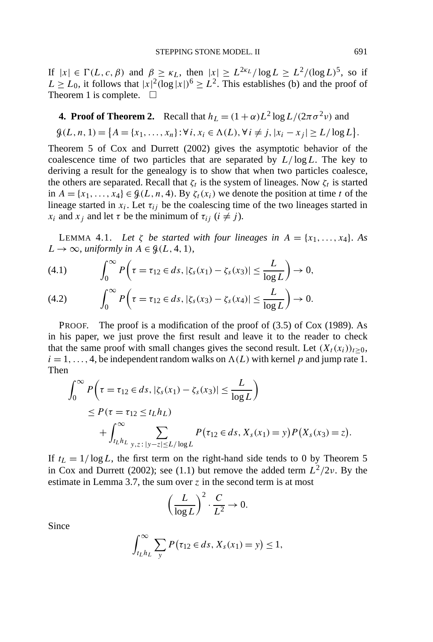If  $|x| \in \Gamma(L, c, \beta)$  and  $\beta \geq \kappa_L$ , then  $|x| \geq L^{2\kappa_L}/\log L \geq L^2/(\log L)^5$ , so if  $L \ge L_0$ , it follows that  $|x|^2(\log|x|)^6 \ge L^2$ . This establishes (b) and the proof of Theorem 1 is complete.  $\square$ 

## **4. Proof of Theorem 2.** Recall that  $h_L = (1 + \alpha)L^2 \log L / (2\pi \sigma^2 \nu)$  and

$$
\mathcal{G}(L, n, 1) = \{A = \{x_1, \ldots, x_n\} : \forall i, x_i \in \Lambda(L), \forall i \neq j, |x_i - x_j| \geq L/\log L\}.
$$

Theorem 5 of Cox and Durrett (2002) gives the asymptotic behavior of the coalescence time of two particles that are separated by *L/* log*L*. The key to deriving a result for the genealogy is to show that when two particles coalesce, the others are separated. Recall that  $\zeta_t$  is the system of lineages. Now  $\zeta_t$  is started in  $A = \{x_1, \ldots, x_4\} \in \mathcal{G}(L, n, 4)$ . By  $\zeta_t(x_i)$  we denote the position at time *t* of the lineage started in  $x_i$ . Let  $\tau_{ij}$  be the coalescing time of the two lineages started in *x<sub>i</sub>* and *x<sub>j</sub>* and let *τ* be the minimum of  $\tau_{ij}$  ( $i \neq j$ ).

LEMMA 4.1. Let  $\zeta$  *be started with four lineages in*  $A = \{x_1, \ldots, x_4\}$ . As  $L \rightarrow \infty$ , *uniformly in*  $A \in \mathcal{G}(L, 4, 1)$ ,

(4.1) 
$$
\int_0^{\infty} P\left(\tau = \tau_{12} \in ds, |\zeta_s(x_1) - \zeta_s(x_3)| \leq \frac{L}{\log L}\right) \to 0,
$$

(4.2) 
$$
\int_0^\infty P\left(\tau = \tau_{12} \in ds, |\zeta_s(x_3) - \zeta_s(x_4)| \leq \frac{L}{\log L}\right) \to 0.
$$

PROOF. The proof is a modification of the proof of (3.5) of Cox (1989). As in his paper, we just prove the first result and leave it to the reader to check that the same proof with small changes gives the second result. Let  $(X_t(x_i))_{t\geq0}$ ,  $i = 1, \ldots, 4$ , be independent random walks on  $\Lambda(L)$  with kernel p and jump rate 1. Then

$$
\int_0^{\infty} P\left(\tau = \tau_{12} \in ds, |\zeta_s(x_1) - \zeta_s(x_3)| \le \frac{L}{\log L}\right)
$$
  
 
$$
\le P(\tau = \tau_{12} \le t_L h_L)
$$
  
+ 
$$
\int_{t_L h_L}^{\infty} \sum_{y,z \colon |y-z| \le L/\log L} P(\tau_{12} \in ds, X_s(x_1) = y) P(X_s(x_3) = z).
$$

If  $t_L = 1/\log L$ , the first term on the right-hand side tends to 0 by Theorem 5 in Cox and Durrett (2002); see (1.1) but remove the added term  $L^2/2\nu$ . By the estimate in Lemma 3.7, the sum over *z* in the second term is at most

$$
\left(\frac{L}{\log L}\right)^2 \cdot \frac{C}{L^2} \to 0.
$$

Since

$$
\int_{t_L h_L}^{\infty} \sum_{y} P(\tau_{12} \in ds, X_s(x_1) = y) \le 1,
$$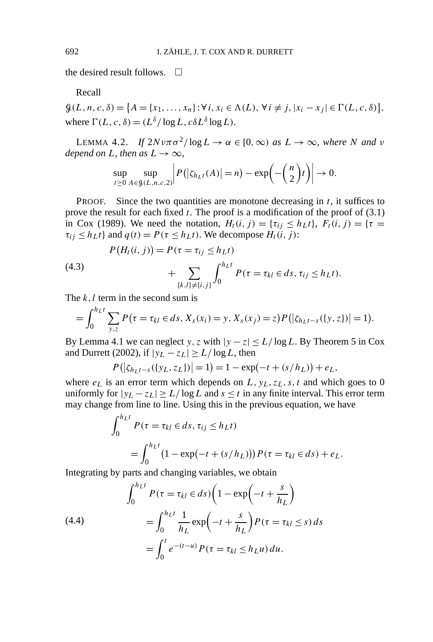the desired result follows.  $\Box$ 

Recall

 $\mathcal{G}(L, n, c, \delta) = \{A = \{x_1, \ldots, x_n\} : \forall i, x_i \in \Lambda(L), \forall i \neq j, |x_i - x_j| \in \Gamma(L, c, \delta)\},\$ where  $\Gamma(L, c, \delta) = (L^{\delta} / \log L, c \delta L^{\delta} \log L)$ .

LEMMA 4.2. *If*  $2Nvπσ²/log L → α ∈ [0, ∞)$  *as*  $L → ∞$ *, where N and v depend on L*, *then as*  $L \rightarrow \infty$ ,

$$
\sup_{t\geq 0} \sup_{A\in\mathcal{G}(L,n,c,2)} \left| P(|\zeta_{h_{L}t}(A)|=n) - \exp\left(-\binom{n}{2}t\right) \right| \to 0.
$$

PROOF. Since the two quantities are monotone decreasing in *t*, it suffices to prove the result for each fixed *t*. The proof is a modification of the proof of (3.1) in Cox (1989). We need the notation,  $H_t(i, j) = \{\tau_{ij} \le h_L t\}$ ,  $F_t(i, j) = \{\tau =$  $\tau_{ij} \leq h_L t$  and  $q(t) = P(\tau \leq h_L t)$ . We decompose  $H_t(i, j)$ :

$$
P(H_t(i, j)) = P(\tau = \tau_{ij} \le h_L t)
$$

(4.3) 
$$
+\sum_{\{k,l\}\neq\{i,j\}} \int_0^{h_L t} P(\tau=\tau_{kl} \in ds, \tau_{ij} \leq h_L t).
$$

The *k*, *l* term in the second sum is

$$
= \int_0^{h_L t} \sum_{y,z} P(\tau = \tau_{kl} \in ds, X_s(x_i) = y, X_s(x_j) = z) P(|\zeta_{h_L t - s}(\{y,z\})| = 1).
$$

By Lemma 4.1 we can neglect *y*, *z* with  $|y - z| \le L/\log L$ . By Theorem 5 in Cox and Durrett (2002), if  $|y_L - z_L| \ge L/\log L$ , then

$$
P(|\zeta_{h_Lt-s}(\{y_L, z_L\})| = 1) = 1 - \exp(-t + (s/h_L)) + e_L,
$$

where  $e_L$  is an error term which depends on  $L$ ,  $y_L$ ,  $z_L$ ,  $s$ ,  $t$  and which goes to 0 uniformly for  $|y_L - z_L| \ge L/\log L$  and  $s \le t$  in any finite interval. This error term may change from line to line. Using this in the previous equation, we have

$$
\int_0^{h_L t} P(\tau = \tau_{kl} \in ds, \tau_{ij} \le h_L t)
$$
  
= 
$$
\int_0^{h_L t} (1 - \exp(-t + (s/h_L))) P(\tau = \tau_{kl} \in ds) + e_L.
$$

Integrating by parts and changing variables, we obtain

(4.4)  

$$
\int_0^{h_L t} P(\tau = \tau_{kl} \in ds) \left( 1 - \exp\left( -t + \frac{s}{h_L} \right) \right)
$$

$$
= \int_0^{h_L t} \frac{1}{h_L} \exp\left( -t + \frac{s}{h_L} \right) P(\tau = \tau_{kl} \le s) ds
$$

$$
= \int_0^t e^{-(t-u)} P(\tau = \tau_{kl} \le h_L u) du.
$$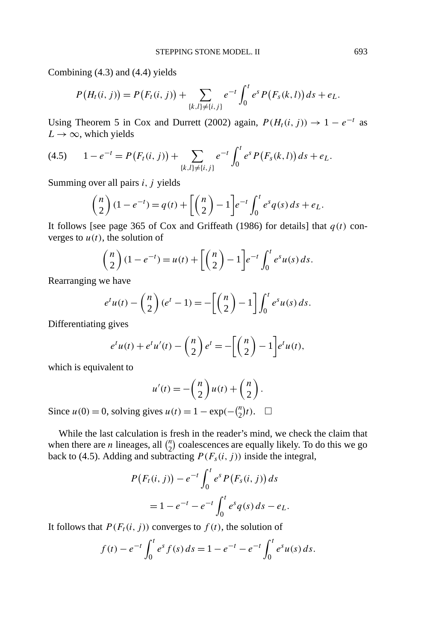Combining (4.3) and (4.4) yields

$$
P(H_t(i, j)) = P(F_t(i, j)) + \sum_{\{k, l\} \neq \{i, j\}} e^{-t} \int_0^t e^s P(F_s(k, l)) ds + e_L.
$$

Using Theorem 5 in Cox and Durrett (2002) again,  $P(H_t(i, j)) \rightarrow 1 - e^{-t}$  as  $L \rightarrow \infty$ , which yields

$$
(4.5) \t 1 - e^{-t} = P(F_t(i,j)) + \sum_{\{k,l\} \neq \{i,j\}} e^{-t} \int_0^t e^s P(F_s(k,l)) ds + e_L.
$$

Summing over all pairs *i, j* yields

$$
\binom{n}{2}(1-e^{-t}) = q(t) + \left[\binom{n}{2} - 1\right]e^{-t} \int_0^t e^s q(s) \, ds + e_L.
$$

It follows [see page 365 of Cox and Griffeath (1986) for details] that  $q(t)$  converges to  $u(t)$ , the solution of

$$
\binom{n}{2}(1-e^{-t})=u(t)+\left[\binom{n}{2}-1\right]e^{-t}\int_0^te^s u(s)\,ds.
$$

Rearranging we have

$$
e^t u(t) - \binom{n}{2} (e^t - 1) = -\left[\binom{n}{2} - 1\right] \int_0^t e^s u(s) \, ds.
$$

Differentiating gives

$$
e^t u(t) + e^t u'(t) - \binom{n}{2} e^t = -\left[\binom{n}{2} - 1\right] e^t u(t),
$$

which is equivalent to

$$
u'(t) = -\binom{n}{2}u(t) + \binom{n}{2}.
$$

Since *u*(0) = 0, solving gives *u*(*t*) = 1 − exp(− ${n \choose 2}$ *t*). □

While the last calculation is fresh in the reader's mind, we check the claim that when there are *n* lineages, all  $\binom{n}{2}$  coalescences are equally likely. To do this we go back to (4.5). Adding and subtracting  $P(F_s(i, j))$  inside the integral,

$$
P(F_t(i, j)) - e^{-t} \int_0^t e^s P(F_s(i, j)) ds
$$
  
= 1 - e^{-t} - e^{-t} \int\_0^t e^s q(s) ds - e\_L.

It follows that  $P(F_t(i, j))$  converges to  $f(t)$ , the solution of

$$
f(t) - e^{-t} \int_0^t e^s f(s) \, ds = 1 - e^{-t} - e^{-t} \int_0^t e^s u(s) \, ds.
$$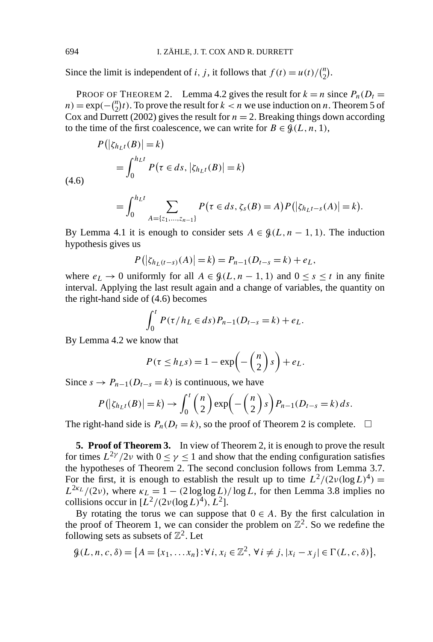Since the limit is independent of *i*, *j*, it follows that  $f(t) = u(t)/\binom{n}{2}$ .

PROOF OF THEOREM 2. Lemma 4.2 gives the result for  $k = n$  since  $P_n(D_t =$  $n) = \exp(-\binom{n}{2}t)$ . To prove the result for  $k < n$  we use induction on *n*. Theorem 5 of Cox and Durrett (2002) gives the result for  $n = 2$ . Breaking things down according to the time of the first coalescence, we can write for  $B \in \mathcal{G}(L, n, 1)$ ,

$$
P(|\zeta_{h_L t}(B)| = k)
$$
  
= 
$$
\int_0^{h_L t} P(\tau \in ds, |\zeta_{h_L t}(B)| = k)
$$

 $=$  $\int_0^{h_L t}$  $\boldsymbol{0}$  $\sum$ *A*={*z*1*,...,zn*−1}  $P(\tau \in ds, \zeta_s(B) = A)P(|\zeta_{h_Lt-s}(A)| = k).$ 

By Lemma 4.1 it is enough to consider sets  $A \in \mathcal{G}(L, n-1, 1)$ . The induction hypothesis gives us

$$
P(|\zeta_{h_L(t-s)}(A)| = k) = P_{n-1}(D_{t-s} = k) + e_L,
$$

where  $e_L \to 0$  uniformly for all  $A \in \mathcal{G}(L, n-1, 1)$  and  $0 \le s \le t$  in any finite interval. Applying the last result again and a change of variables, the quantity on the right-hand side of (4.6) becomes

$$
\int_0^t P(\tau/h_L \in ds) P_{n-1}(D_{t-s} = k) + e_L.
$$

By Lemma 4.2 we know that

$$
P(\tau \le h_L s) = 1 - \exp\biggl(-\binom{n}{2} s\biggr) + e_L.
$$

Since  $s \to P_{n-1}(D_{t-s} = k)$  is continuous, we have

$$
P(|\zeta_{h_Lt}(B)|=k)\to \int_0^t\binom{n}{2}\exp\biggl(-\binom{n}{2}s\biggr)P_{n-1}(D_{t-s}=k)\,ds.
$$

The right-hand side is  $P_n(D_t = k)$ , so the proof of Theorem 2 is complete.  $\Box$ 

**5. Proof of Theorem 3.** In view of Theorem 2, it is enough to prove the result for times  $L^{2\gamma}/2\nu$  with  $0 \le \gamma \le 1$  and show that the ending configuration satisfies the hypotheses of Theorem 2. The second conclusion follows from Lemma 3.7. For the first, it is enough to establish the result up to time  $L^2/(2\nu(\log L)^4)$  =  $L^{2k}L/(2\nu)$ , where  $\kappa_L = 1 - (2 \log \log L)/\log L$ , for then Lemma 3.8 implies no collisions occur in  $\left[ L^2/(2\nu(\log L)^4), L^2 \right]$ .

By rotating the torus we can suppose that  $0 \in A$ . By the first calculation in the proof of Theorem 1, we can consider the problem on  $\mathbb{Z}^2$ . So we redefine the following sets as subsets of  $\mathbb{Z}^2$ . Let

$$
\mathcal{G}(L, n, c, \delta) = \{A = \{x_1, \dots, x_n\} : \forall i, x_i \in \mathbb{Z}^2, \forall i \neq j, |x_i - x_j| \in \Gamma(L, c, \delta)\},\
$$

(4.6)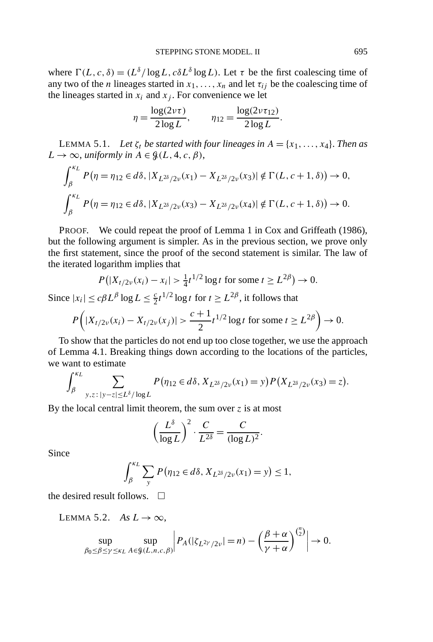where  $\Gamma(L, c, \delta) = (L^{\delta}/\log L, c\delta L^{\delta} \log L)$ . Let  $\tau$  be the first coalescing time of any two of the *n* lineages started in  $x_1, \ldots, x_n$  and let  $\tau_{ij}$  be the coalescing time of the lineages started in  $x_i$  and  $x_j$ . For convenience we let

$$
\eta = \frac{\log(2\nu\tau)}{2\log L}, \qquad \eta_{12} = \frac{\log(2\nu\tau_{12})}{2\log L}.
$$

LEMMA 5.1. *Let*  $ζ<sub>t</sub>$  *be started with four lineages in*  $A = {x<sub>1</sub>,...,x<sub>4</sub>}.$  *Then as*  $L \rightarrow \infty$ , *uniformly in*  $A \in \mathcal{G}(L, 4, c, \beta)$ ,

$$
\int_{\beta}^{\kappa_L} P(\eta = \eta_{12} \in d\delta, |X_{L^{2\delta}/2\nu}(x_1) - X_{L^{2\delta}/2\nu}(x_3)| \notin \Gamma(L, c + 1, \delta)) \to 0,
$$
  

$$
\int_{\beta}^{\kappa_L} P(\eta = \eta_{12} \in d\delta, |X_{L^{2\delta}/2\nu}(x_3) - X_{L^{2\delta}/2\nu}(x_4)| \notin \Gamma(L, c + 1, \delta)) \to 0.
$$

PROOF. We could repeat the proof of Lemma 1 in Cox and Griffeath (1986), but the following argument is simpler. As in the previous section, we prove only the first statement, since the proof of the second statement is similar. The law of the iterated logarithm implies that

$$
P(|X_{t/2\nu}(x_i) - x_i| > \frac{1}{4}t^{1/2}\log t \text{ for some } t \ge L^{2\beta}) \to 0.
$$

Since  $|x_i| \le c\beta L^{\beta} \log L \le \frac{c}{2} t^{1/2} \log t$  for  $t \ge L^{2\beta}$ , it follows that

$$
P\left(|X_{t/2\nu}(x_i) - X_{t/2\nu}(x_j)| > \frac{c+1}{2}t^{1/2}\log t \text{ for some } t \ge L^{2\beta}\right) \to 0.
$$

To show that the particles do not end up too close together, we use the approach of Lemma 4.1. Breaking things down according to the locations of the particles, we want to estimate *κL*

$$
\int_{\beta}^{x_L} \sum_{y,z \,:\, |y-z| \le L^{\delta}/\log L} P(\eta_{12} \in d\delta, X_{L^{2\delta}/2\nu}(x_1) = y) P(X_{L^{2\delta}/2\nu}(x_3) = z).
$$

By the local central limit theorem, the sum over *z* is at most

$$
\left(\frac{L^{\delta}}{\log L}\right)^2 \cdot \frac{C}{L^{2\delta}} = \frac{C}{(\log L)^2}.
$$

Since

$$
\int_{\beta}^{\kappa_L} \sum_{y} P(\eta_{12} \in d\delta, X_{L^{2\delta}/2\nu}(x_1) = y) \le 1,
$$

the desired result follows.  $\Box$ 

LEMMA 5.2. *As*  $L \rightarrow \infty$ ,

$$
\sup_{\beta_0 \leq \beta \leq \gamma \leq \kappa_L} \sup_{A \in \mathcal{G}(L,n,c,\beta)} \left| P_A(|\zeta_{L^{2\gamma}/2\nu}| = n) - \left(\frac{\beta + \alpha}{\gamma + \alpha}\right)^{\binom{n}{2}} \right| \to 0.
$$

*n*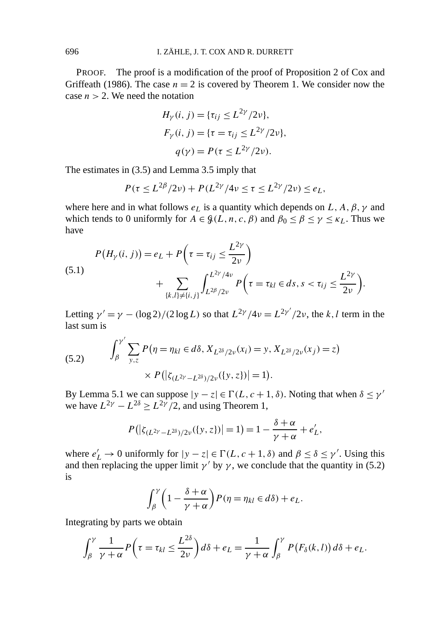PROOF. The proof is a modification of the proof of Proposition 2 of Cox and Griffeath (1986). The case  $n = 2$  is covered by Theorem 1. We consider now the case  $n > 2$ . We need the notation

$$
H_{\gamma}(i, j) = {\tau_{ij} \le L^{2\gamma}/2\nu},
$$
  
\n
$$
F_{\gamma}(i, j) = {\tau = \tau_{ij} \le L^{2\gamma}/2\nu},
$$
  
\n
$$
q(\gamma) = P(\tau \le L^{2\gamma}/2\nu).
$$

The estimates in (3.5) and Lemma 3.5 imply that

$$
P(\tau \le L^{2\beta}/2\nu) + P(L^{2\gamma}/4\nu \le \tau \le L^{2\gamma}/2\nu) \le e_L,
$$

where here and in what follows  $e<sub>L</sub>$  is a quantity which depends on *L*, *A*,  $\beta$ ,  $\gamma$  and which tends to 0 uniformly for  $A \in \mathcal{G}(L, n, c, \beta)$  and  $\beta_0 \le \beta \le \gamma \le \kappa_L$ . Thus we have

(5.1)  

$$
P(H_{\gamma}(i, j)) = e_L + P\left(\tau = \tau_{ij} \le \frac{L^{2\gamma}}{2\nu}\right) + \sum_{\{k, l\} \ne \{i, j\}} \int_{L^{2\beta}/2\nu}^{L^{2\gamma}/4\nu} P\left(\tau = \tau_{kl} \in ds, s < \tau_{ij} \le \frac{L^{2\gamma}}{2\nu}\right).
$$

Letting  $\gamma' = \gamma - (\log 2)/(2 \log L)$  so that  $L^{2\gamma}/4\nu = L^{2\gamma'}/2\nu$ , the *k*, *l* term in the last sum is

(5.2) 
$$
\int_{\beta}^{\gamma'} \sum_{y,z} P(\eta = \eta_{kl} \in d\delta, X_{L^{2\delta}/2\nu}(x_i) = y, X_{L^{2\delta}/2\nu}(x_j) = z) \times P(|\zeta_{(L^{2\gamma} - L^{2\delta})/2\nu}(\{y,z\})| = 1).
$$

By Lemma 5.1 we can suppose  $|y - z| \in \Gamma(L, c + 1, \delta)$ . Noting that when  $\delta \leq \gamma'$ we have  $L^{2\gamma} - L^{2\delta} \geq L^{2\gamma}/2$ , and using Theorem 1,

$$
P(|\zeta_{(L^{2\gamma}-L^{2\delta})/2\nu}(\{y,z\})|=1)=1-\frac{\delta+\alpha}{\gamma+\alpha}+e'_L,
$$

where  $e'_L \to 0$  uniformly for  $|y - z| \in \Gamma(L, c + 1, \delta)$  and  $\beta \leq \delta \leq \gamma'$ . Using this and then replacing the upper limit  $\gamma'$  by  $\gamma$ , we conclude that the quantity in (5.2) is

$$
\int_{\beta}^{\gamma} \left(1 - \frac{\delta + \alpha}{\gamma + \alpha}\right) P(\eta = \eta_{kl} \in d\delta) + e_L.
$$

Integrating by parts we obtain

$$
\int_{\beta}^{\gamma} \frac{1}{\gamma + \alpha} P\left(\tau = \tau_{kl} \leq \frac{L^{2\delta}}{2\nu}\right) d\delta + e_L = \frac{1}{\gamma + \alpha} \int_{\beta}^{\gamma} P\left(F_{\delta}(k, l)\right) d\delta + e_L.
$$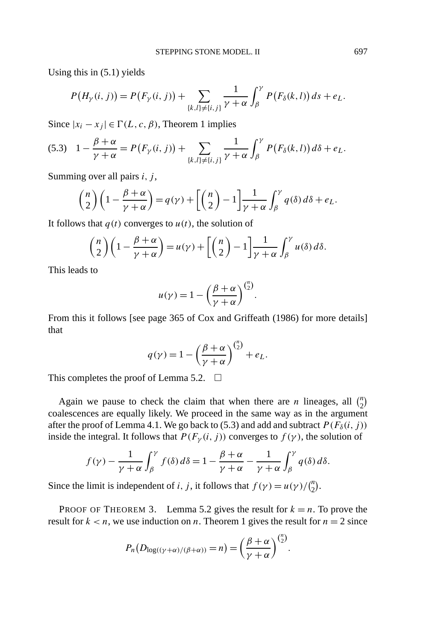Using this in (5.1) yields

$$
P(H_{\gamma}(i, j)) = P(F_{\gamma}(i, j)) + \sum_{\{k, l\} \neq \{i, j\}} \frac{1}{\gamma + \alpha} \int_{\beta}^{\gamma} P(F_{\delta}(k, l)) ds + e_{L}.
$$

Since  $|x_i - x_j| \in \Gamma(L, c, \beta)$ , Theorem 1 implies

$$
(5.3) \quad 1 - \frac{\beta + \alpha}{\gamma + \alpha} = P\big(F_{\gamma}(i,j)\big) + \sum_{\{k,l\} \neq \{i,j\}} \frac{1}{\gamma + \alpha} \int_{\beta}^{\gamma} P\big(F_{\delta}(k,l)\big) d\delta + e_L.
$$

Summing over all pairs *i, j* ,

$$
\binom{n}{2}\left(1-\frac{\beta+\alpha}{\gamma+\alpha}\right)=q(\gamma)+\left[\binom{n}{2}-1\right]\frac{1}{\gamma+\alpha}\int_{\beta}^{\gamma}q(\delta)\,d\delta+e_L.
$$

It follows that  $q(t)$  converges to  $u(t)$ , the solution of

$$
\binom{n}{2}\left(1-\frac{\beta+\alpha}{\gamma+\alpha}\right)=u(\gamma)+\left[\binom{n}{2}-1\right]\frac{1}{\gamma+\alpha}\int_{\beta}^{\gamma}u(\delta)\,d\delta.
$$

This leads to

$$
u(\gamma) = 1 - \left(\frac{\beta + \alpha}{\gamma + \alpha}\right)^{\binom{n}{2}}.
$$

From this it follows [see page 365 of Cox and Griffeath (1986) for more details] that

$$
q(\gamma) = 1 - \left(\frac{\beta + \alpha}{\gamma + \alpha}\right)^{\binom{n}{2}} + e_L.
$$

This completes the proof of Lemma 5.2.  $\Box$ 

Again we pause to check the claim that when there are *n* lineages, all  $\binom{n}{2}$ coalescences are equally likely. We proceed in the same way as in the argument after the proof of Lemma 4.1. We go back to (5.3) and add and subtract  $P(F_\delta(i, j))$ inside the integral. It follows that  $P(F_{\gamma}(i, j))$  converges to  $f(\gamma)$ , the solution of

$$
f(\gamma) - \frac{1}{\gamma + \alpha} \int_{\beta}^{\gamma} f(\delta) d\delta = 1 - \frac{\beta + \alpha}{\gamma + \alpha} - \frac{1}{\gamma + \alpha} \int_{\beta}^{\gamma} q(\delta) d\delta.
$$

Since the limit is independent of *i*, *j*, it follows that  $f(\gamma) = u(\gamma)/\binom{n}{2}$ .

PROOF OF THEOREM 3. Lemma 5.2 gives the result for  $k = n$ . To prove the result for  $k < n$ , we use induction on *n*. Theorem 1 gives the result for  $n = 2$  since

$$
P_n(D_{\log((\gamma+\alpha)/(\beta+\alpha))}=n)=\left(\frac{\beta+\alpha}{\gamma+\alpha}\right)^{\binom{n}{2}}.
$$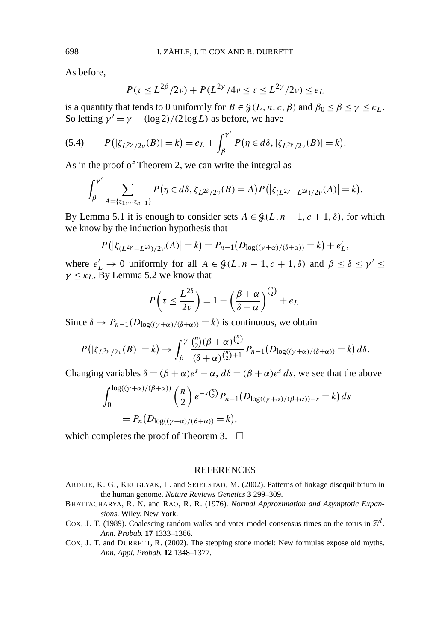As before,

$$
P(\tau \le L^{2\beta}/2\nu) + P(L^{2\gamma}/4\nu \le \tau \le L^{2\gamma}/2\nu) \le e_L
$$

is a quantity that tends to 0 uniformly for  $B \in \mathcal{G}(L, n, c, \beta)$  and  $\beta_0 \le \beta \le \gamma \le \kappa_L$ . So letting  $\gamma' = \gamma - (\log 2)/(2 \log L)$  as before, we have

(5.4) 
$$
P(|\zeta_{L^{2\gamma}/2\nu}(B)|=k)=e_L+\int_{\beta}^{\gamma'}P(\eta\in d\delta, |\zeta_{L^{2\gamma}/2\nu}(B)|=k).
$$

As in the proof of Theorem 2, we can write the integral as

$$
\int_{\beta}^{\gamma'} \sum_{A = \{z_1, \dots, z_{n-1}\}} P(\eta \in d\delta, \zeta_{L^{2\delta}/2\nu}(B) = A) P(|\zeta_{(L^{2\gamma} - L^{2\delta})/2\nu}(A)| = k).
$$

By Lemma 5.1 it is enough to consider sets  $A \in \mathcal{G}(L, n-1, c+1, \delta)$ , for which we know by the induction hypothesis that

$$
P(|\zeta_{(L^{2\gamma}-L^{2\delta})/2\nu}(A)|=k)=P_{n-1}(D_{\log((\gamma+\alpha)/(\delta+\alpha))}=k)+e'_L,
$$

where  $e'_L \to 0$  uniformly for all  $A \in \mathcal{G}(L, n-1, c+1, \delta)$  and  $\beta \leq \delta \leq \gamma' \leq$  $\gamma \leq \kappa_L$ . By Lemma 5.2 we know that

$$
P\left(\tau \leq \frac{L^{2\delta}}{2\nu}\right) = 1 - \left(\frac{\beta + \alpha}{\delta + \alpha}\right)^{\binom{n}{2}} + e_L.
$$

Since  $\delta \to P_{n-1}(D_{\log((\gamma+\alpha)/(\delta+\alpha))} = k)$  is continuous, we obtain

$$
P(|\zeta_{L^{2\gamma}/2\nu}(B)| = k) \to \int_{\beta}^{\gamma} \frac{\binom{n}{2}(\beta + \alpha)\binom{n}{2}}{(\delta + \alpha)\binom{n}{2}+1} P_{n-1}(D_{\log((\gamma + \alpha)/(\delta + \alpha))} = k) d\delta.
$$

Changing variables  $\delta = (\beta + \alpha)e^{\delta} - \alpha$ ,  $d\delta = (\beta + \alpha)e^{\delta} ds$ , we see that the above

$$
\int_0^{\log((\gamma+\alpha)/(\beta+\alpha))} \binom{n}{2} e^{-s\binom{n}{2}} P_{n-1}(D_{\log((\gamma+\alpha)/(\beta+\alpha))-s} = k) ds
$$
  
=  $P_n(D_{\log((\gamma+\alpha)/(\beta+\alpha))} = k),$ 

which completes the proof of Theorem 3.  $\Box$ 

## **REFERENCES**

- ARDLIE, K. G., KRUGLYAK, L. and SEIELSTAD, M. (2002). Patterns of linkage disequilibrium in the human genome. *Nature Reviews Genetics* **3** 299–309.
- BHATTACHARYA, R. N. and RAO, R. R. (1976). *Normal Approximation and Asymptotic Expansions*. Wiley, New York.
- COX, J. T. (1989). Coalescing random walks and voter model consensus times on the torus in  $\mathbb{Z}^d$ . *Ann. Probab.* **17** 1333–1366.
- COX, J. T. and DURRETT, R. (2002). The stepping stone model: New formulas expose old myths. *Ann. Appl. Probab.* **12** 1348–1377.